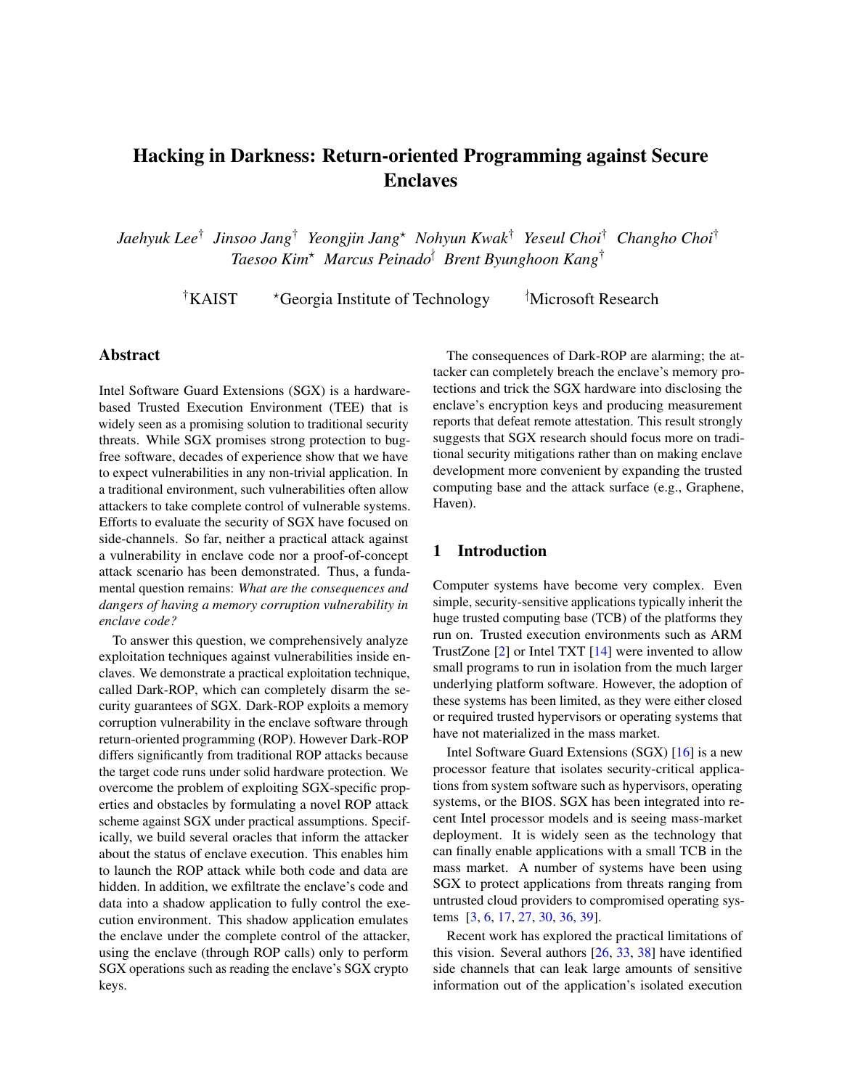# Hacking in Darkness: Return-oriented Programming against Secure Enclaves

*Jaehyuk Lee*† *Jinsoo Jang*† *Yeongjin Jang*<sup>⋆</sup> *Nohyun Kwak*† *Yeseul Choi*† *Changho Choi*† *Taesoo Kim*<sup>⋆</sup> *Marcus Peinado*<sup>∤</sup> *Brent Byunghoon Kang*†

†KAIST  $\star$ Georgia Institute of Technology  $\star$ Microsoft Research

## Abstract

Intel Software Guard Extensions (SGX) is a hardwarebased Trusted Execution Environment (TEE) that is widely seen as a promising solution to traditional security threats. While SGX promises strong protection to bugfree software, decades of experience show that we have to expect vulnerabilities in any non-trivial application. In a traditional environment, such vulnerabilities often allow attackers to take complete control of vulnerable systems. Efforts to evaluate the security of SGX have focused on side-channels. So far, neither a practical attack against a vulnerability in enclave code nor a proof-of-concept attack scenario has been demonstrated. Thus, a fundamental question remains: *What are the consequences and dangers of having a memory corruption vulnerability in enclave code?*

To answer this question, we comprehensively analyze exploitation techniques against vulnerabilities inside enclaves. We demonstrate a practical exploitation technique, called Dark-ROP, which can completely disarm the security guarantees of SGX. Dark-ROP exploits a memory corruption vulnerability in the enclave software through return-oriented programming (ROP). However Dark-ROP differs significantly from traditional ROP attacks because the target code runs under solid hardware protection. We overcome the problem of exploiting SGX-specific properties and obstacles by formulating a novel ROP attack scheme against SGX under practical assumptions. Specifically, we build several oracles that inform the attacker about the status of enclave execution. This enables him to launch the ROP attack while both code and data are hidden. In addition, we exfiltrate the enclave's code and data into a shadow application to fully control the execution environment. This shadow application emulates the enclave under the complete control of the attacker, using the enclave (through ROP calls) only to perform SGX operations such as reading the enclave's SGX crypto keys.

The consequences of Dark-ROP are alarming; the attacker can completely breach the enclave's memory protections and trick the SGX hardware into disclosing the enclave's encryption keys and producing measurement reports that defeat remote attestation. This result strongly suggests that SGX research should focus more on traditional security mitigations rather than on making enclave development more convenient by expanding the trusted computing base and the attack surface (e.g., Graphene, Haven).

## 1 Introduction

Computer systems have become very complex. Even simple, security-sensitive applications typically inherit the huge trusted computing base (TCB) of the platforms they run on. Trusted execution environments such as ARM TrustZone [\[2\]](#page-14-0) or Intel TXT [\[14\]](#page-14-1) were invented to allow small programs to run in isolation from the much larger underlying platform software. However, the adoption of these systems has been limited, as they were either closed or required trusted hypervisors or operating systems that have not materialized in the mass market.

Intel Software Guard Extensions (SGX) [\[16\]](#page-14-2) is a new processor feature that isolates security-critical applications from system software such as hypervisors, operating systems, or the BIOS. SGX has been integrated into recent Intel processor models and is seeing mass-market deployment. It is widely seen as the technology that can finally enable applications with a small TCB in the mass market. A number of systems have been using SGX to protect applications from threats ranging from untrusted cloud providers to compromised operating systems [\[3,](#page-14-3) [6,](#page-14-4) [17,](#page-14-5) [27,](#page-14-6) [30,](#page-14-7) [36,](#page-15-0) [39\]](#page-15-1).

Recent work has explored the practical limitations of this vision. Several authors [\[26,](#page-14-8) [33,](#page-15-2) [38\]](#page-15-3) have identified side channels that can leak large amounts of sensitive information out of the application's isolated execution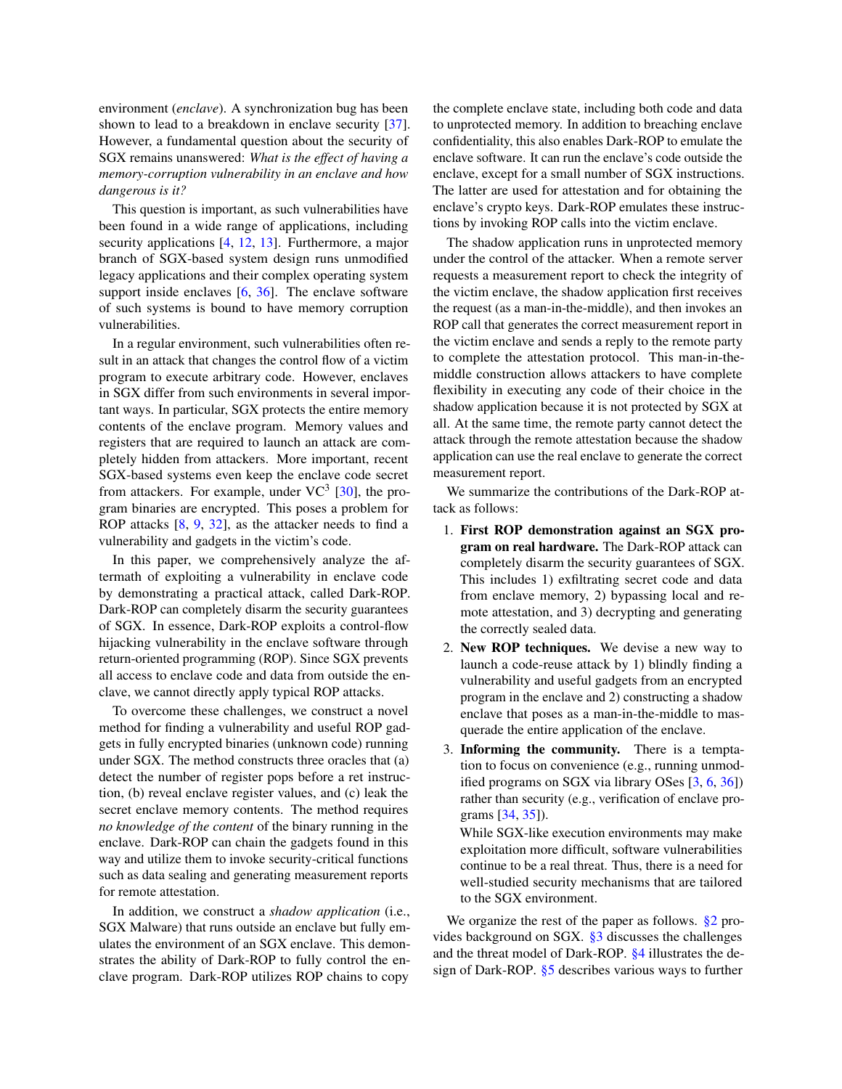environment (*enclave*). A synchronization bug has been shown to lead to a breakdown in enclave security [\[37\]](#page-15-4). However, a fundamental question about the security of SGX remains unanswered: *What is the effect of having a memory-corruption vulnerability in an enclave and how dangerous is it?*

This question is important, as such vulnerabilities have been found in a wide range of applications, including security applications [\[4,](#page-14-9) [12,](#page-14-10) [13\]](#page-14-11). Furthermore, a major branch of SGX-based system design runs unmodified legacy applications and their complex operating system support inside enclaves [\[6,](#page-14-4) [36\]](#page-15-0). The enclave software of such systems is bound to have memory corruption vulnerabilities.

In a regular environment, such vulnerabilities often result in an attack that changes the control flow of a victim program to execute arbitrary code. However, enclaves in SGX differ from such environments in several important ways. In particular, SGX protects the entire memory contents of the enclave program. Memory values and registers that are required to launch an attack are completely hidden from attackers. More important, recent SGX-based systems even keep the enclave code secret from attackers. For example, under  $VC^3$  [\[30\]](#page-14-7), the program binaries are encrypted. This poses a problem for ROP attacks [\[8,](#page-14-12) [9,](#page-14-13) [32\]](#page-15-5), as the attacker needs to find a vulnerability and gadgets in the victim's code.

In this paper, we comprehensively analyze the aftermath of exploiting a vulnerability in enclave code by demonstrating a practical attack, called Dark-ROP. Dark-ROP can completely disarm the security guarantees of SGX. In essence, Dark-ROP exploits a control-flow hijacking vulnerability in the enclave software through return-oriented programming (ROP). Since SGX prevents all access to enclave code and data from outside the enclave, we cannot directly apply typical ROP attacks.

To overcome these challenges, we construct a novel method for finding a vulnerability and useful ROP gadgets in fully encrypted binaries (unknown code) running under SGX. The method constructs three oracles that (a) detect the number of register pops before a ret instruction, (b) reveal enclave register values, and (c) leak the secret enclave memory contents. The method requires *no knowledge of the content* of the binary running in the enclave. Dark-ROP can chain the gadgets found in this way and utilize them to invoke security-critical functions such as data sealing and generating measurement reports for remote attestation.

In addition, we construct a *shadow application* (i.e., SGX Malware) that runs outside an enclave but fully emulates the environment of an SGX enclave. This demonstrates the ability of Dark-ROP to fully control the enclave program. Dark-ROP utilizes ROP chains to copy

the complete enclave state, including both code and data to unprotected memory. In addition to breaching enclave confidentiality, this also enables Dark-ROP to emulate the enclave software. It can run the enclave's code outside the enclave, except for a small number of SGX instructions. The latter are used for attestation and for obtaining the enclave's crypto keys. Dark-ROP emulates these instructions by invoking ROP calls into the victim enclave.

The shadow application runs in unprotected memory under the control of the attacker. When a remote server requests a measurement report to check the integrity of the victim enclave, the shadow application first receives the request (as a man-in-the-middle), and then invokes an ROP call that generates the correct measurement report in the victim enclave and sends a reply to the remote party to complete the attestation protocol. This man-in-themiddle construction allows attackers to have complete flexibility in executing any code of their choice in the shadow application because it is not protected by SGX at all. At the same time, the remote party cannot detect the attack through the remote attestation because the shadow application can use the real enclave to generate the correct measurement report.

We summarize the contributions of the Dark-ROP attack as follows:

- 1. First ROP demonstration against an SGX program on real hardware. The Dark-ROP attack can completely disarm the security guarantees of SGX. This includes 1) exfiltrating secret code and data from enclave memory, 2) bypassing local and remote attestation, and 3) decrypting and generating the correctly sealed data.
- 2. New ROP techniques. We devise a new way to launch a code-reuse attack by 1) blindly finding a vulnerability and useful gadgets from an encrypted program in the enclave and 2) constructing a shadow enclave that poses as a man-in-the-middle to masquerade the entire application of the enclave.
- 3. Informing the community. There is a temptation to focus on convenience (e.g., running unmodified programs on SGX via library OSes [\[3,](#page-14-3) [6,](#page-14-4) [36\]](#page-15-0)) rather than security (e.g., verification of enclave programs [\[34,](#page-15-6) [35\]](#page-15-7)).

While SGX-like execution environments may make exploitation more difficult, software vulnerabilities continue to be a real threat. Thus, there is a need for well-studied security mechanisms that are tailored to the SGX environment.

We organize the rest of the paper as follows.  $\S2$  provides background on SGX. [§3](#page-3-0) discusses the challenges and the threat model of Dark-ROP. [§4](#page-5-0) illustrates the design of Dark-ROP. [§5](#page-8-0) describes various ways to further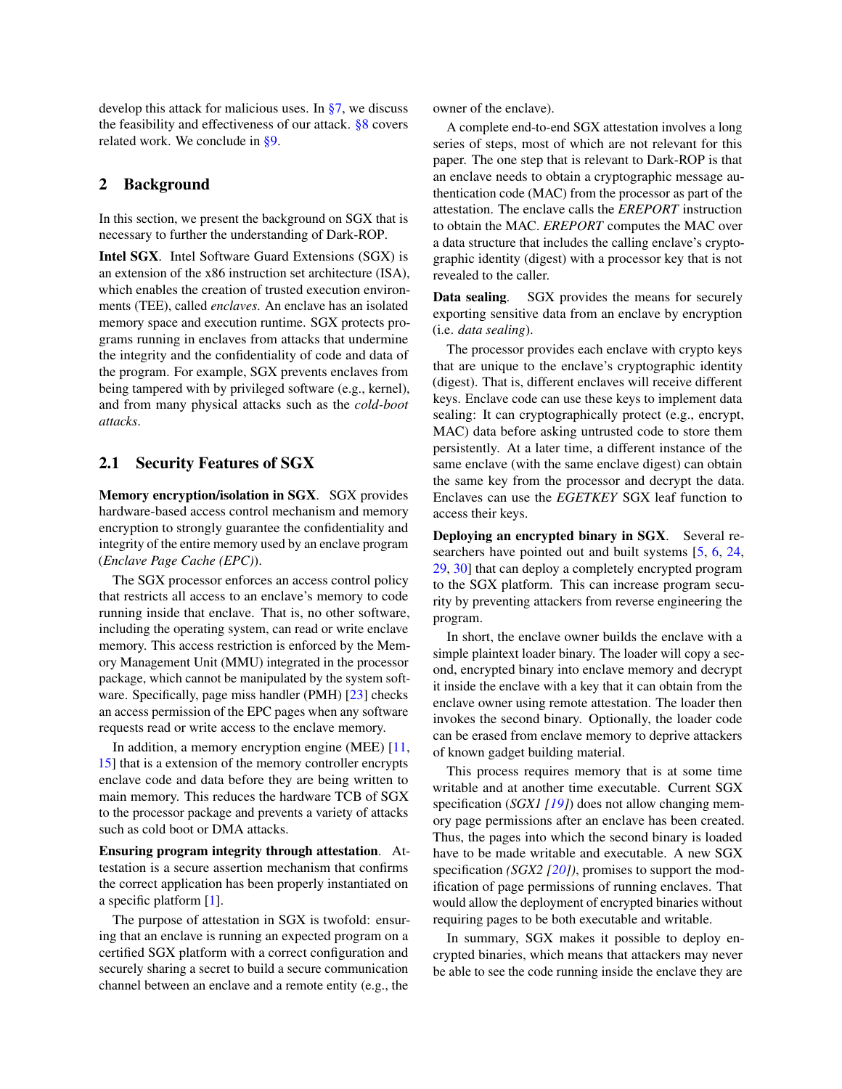develop this attack for malicious uses. In [§7,](#page-12-0) we discuss the feasibility and effectiveness of our attack. [§8](#page-12-1) covers related work. We conclude in [§9.](#page-13-0)

## <span id="page-2-0"></span>2 Background

In this section, we present the background on SGX that is necessary to further the understanding of Dark-ROP.

Intel SGX. Intel Software Guard Extensions (SGX) is an extension of the x86 instruction set architecture (ISA), which enables the creation of trusted execution environments (TEE), called *enclaves*. An enclave has an isolated memory space and execution runtime. SGX protects programs running in enclaves from attacks that undermine the integrity and the confidentiality of code and data of the program. For example, SGX prevents enclaves from being tampered with by privileged software (e.g., kernel), and from many physical attacks such as the *cold-boot attacks*.

## <span id="page-2-1"></span>2.1 Security Features of SGX

Memory encryption/isolation in SGX. SGX provides hardware-based access control mechanism and memory encryption to strongly guarantee the confidentiality and integrity of the entire memory used by an enclave program (*Enclave Page Cache (EPC)*).

The SGX processor enforces an access control policy that restricts all access to an enclave's memory to code running inside that enclave. That is, no other software, including the operating system, can read or write enclave memory. This access restriction is enforced by the Memory Management Unit (MMU) integrated in the processor package, which cannot be manipulated by the system soft-ware. Specifically, page miss handler (PMH) [\[23\]](#page-14-14) checks an access permission of the EPC pages when any software requests read or write access to the enclave memory.

In addition, a memory encryption engine (MEE) [\[11,](#page-14-15) [15\]](#page-14-16) that is a extension of the memory controller encrypts enclave code and data before they are being written to main memory. This reduces the hardware TCB of SGX to the processor package and prevents a variety of attacks such as cold boot or DMA attacks.

Ensuring program integrity through attestation. Attestation is a secure assertion mechanism that confirms the correct application has been properly instantiated on a specific platform [\[1\]](#page-14-17).

The purpose of attestation in SGX is twofold: ensuring that an enclave is running an expected program on a certified SGX platform with a correct configuration and securely sharing a secret to build a secure communication channel between an enclave and a remote entity (e.g., the

owner of the enclave).

A complete end-to-end SGX attestation involves a long series of steps, most of which are not relevant for this paper. The one step that is relevant to Dark-ROP is that an enclave needs to obtain a cryptographic message authentication code (MAC) from the processor as part of the attestation. The enclave calls the *EREPORT* instruction to obtain the MAC. *EREPORT* computes the MAC over a data structure that includes the calling enclave's cryptographic identity (digest) with a processor key that is not revealed to the caller.

Data sealing. SGX provides the means for securely exporting sensitive data from an enclave by encryption (i.e. *data sealing*).

The processor provides each enclave with crypto keys that are unique to the enclave's cryptographic identity (digest). That is, different enclaves will receive different keys. Enclave code can use these keys to implement data sealing: It can cryptographically protect (e.g., encrypt, MAC) data before asking untrusted code to store them persistently. At a later time, a different instance of the same enclave (with the same enclave digest) can obtain the same key from the processor and decrypt the data. Enclaves can use the *EGETKEY* SGX leaf function to access their keys.

Deploying an encrypted binary in SGX. Several researchers have pointed out and built systems [\[5,](#page-14-18) [6,](#page-14-4) [24,](#page-14-19) [29,](#page-14-20) [30\]](#page-14-7) that can deploy a completely encrypted program to the SGX platform. This can increase program security by preventing attackers from reverse engineering the program.

In short, the enclave owner builds the enclave with a simple plaintext loader binary. The loader will copy a second, encrypted binary into enclave memory and decrypt it inside the enclave with a key that it can obtain from the enclave owner using remote attestation. The loader then invokes the second binary. Optionally, the loader code can be erased from enclave memory to deprive attackers of known gadget building material.

This process requires memory that is at some time writable and at another time executable. Current SGX specification (*SGX1 [\[19\]](#page-14-21)*) does not allow changing memory page permissions after an enclave has been created. Thus, the pages into which the second binary is loaded have to be made writable and executable. A new SGX specification *(SGX2 [\[20\]](#page-14-22))*, promises to support the modification of page permissions of running enclaves. That would allow the deployment of encrypted binaries without requiring pages to be both executable and writable.

In summary, SGX makes it possible to deploy encrypted binaries, which means that attackers may never be able to see the code running inside the enclave they are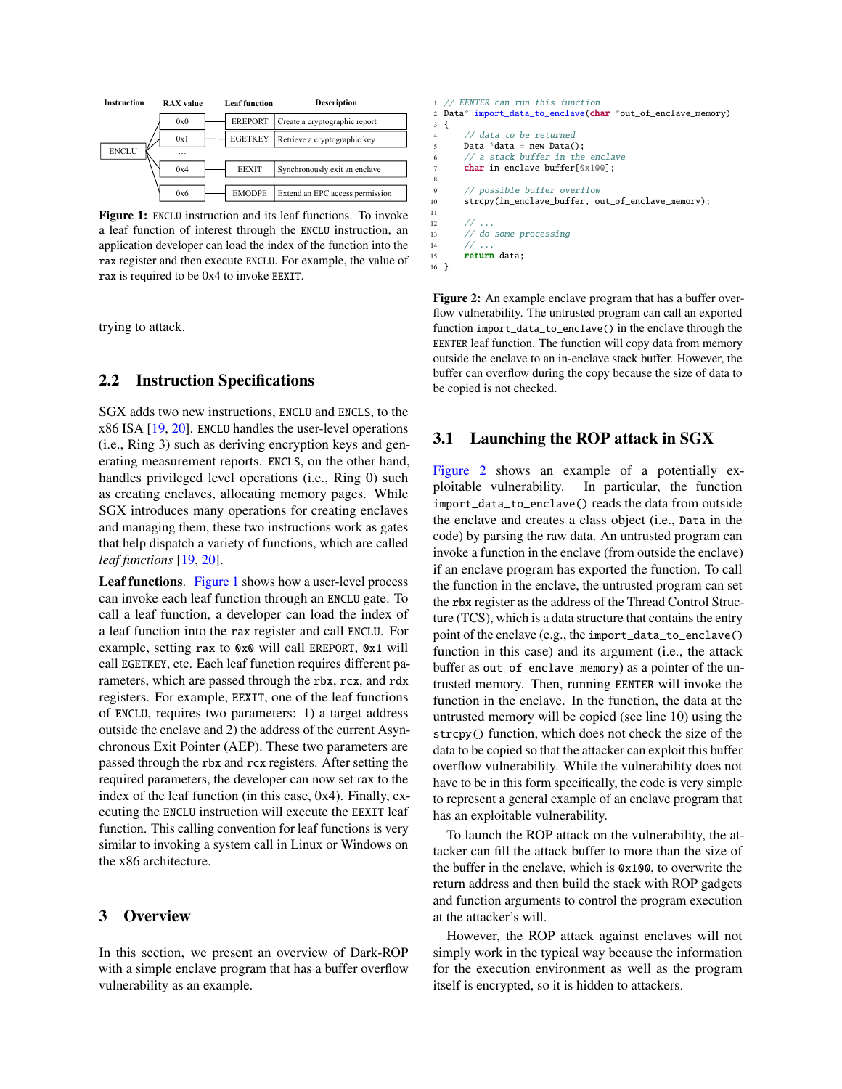<span id="page-3-1"></span>

Figure 1: ENCLU instruction and its leaf functions. To invoke a leaf function of interest through the ENCLU instruction, an application developer can load the index of the function into the rax register and then execute ENCLU. For example, the value of rax is required to be 0x4 to invoke EEXIT.

trying to attack.

#### 2.2 Instruction Specifications

SGX adds two new instructions, ENCLU and ENCLS, to the x86 ISA [\[19,](#page-14-21) [20\]](#page-14-22). ENCLU handles the user-level operations (i.e., Ring 3) such as deriving encryption keys and generating measurement reports. ENCLS, on the other hand, handles privileged level operations (i.e., Ring 0) such as creating enclaves, allocating memory pages. While SGX introduces many operations for creating enclaves and managing them, these two instructions work as gates that help dispatch a variety of functions, which are called *leaf functions* [\[19,](#page-14-21) [20\]](#page-14-22).

Leaf functions. [Figure 1](#page-3-1) shows how a user-level process can invoke each leaf function through an ENCLU gate. To call a leaf function, a developer can load the index of a leaf function into the rax register and call ENCLU. For example, setting rax to 0x0 will call EREPORT, 0x1 will call EGETKEY, etc. Each leaf function requires different parameters, which are passed through the rbx, rcx, and rdx registers. For example, EEXIT, one of the leaf functions of ENCLU, requires two parameters: 1) a target address outside the enclave and 2) the address of the current Asynchronous Exit Pointer (AEP). These two parameters are passed through the rbx and rcx registers. After setting the required parameters, the developer can now set rax to the index of the leaf function (in this case, 0x4). Finally, executing the ENCLU instruction will execute the EEXIT leaf function. This calling convention for leaf functions is very similar to invoking a system call in Linux or Windows on the x86 architecture.

#### <span id="page-3-0"></span>3 Overview

In this section, we present an overview of Dark-ROP with a simple enclave program that has a buffer overflow vulnerability as an example.

```
1 // EENTER can run this function
2 Data* import_data_to_enclave(char *out_of_enclave_memory)
3 {
4 // data to be returned
5 Data *data = new Data():
6 // a stack buffer in the enclave
7 char in_enclave_buffer[0x100];
8
9 // possible buffer overflow
10 strcpy(in_enclave_buffer, out_of_enclave_memory);
11
12 // ...
13 // do some processing
14 // ...
15 return data;
16 }
```
Figure 2: An example enclave program that has a buffer overflow vulnerability. The untrusted program can call an exported function import\_data\_to\_enclave() in the enclave through the EENTER leaf function. The function will copy data from memory outside the enclave to an in-enclave stack buffer. However, the buffer can overflow during the copy because the size of data to be copied is not checked.

#### 3.1 Launching the ROP attack in SGX

[Figure 2](#page-3-2) shows an example of a potentially exploitable vulnerability. In particular, the function import\_data\_to\_enclave() reads the data from outside the enclave and creates a class object (i.e., Data in the code) by parsing the raw data. An untrusted program can invoke a function in the enclave (from outside the enclave) if an enclave program has exported the function. To call the function in the enclave, the untrusted program can set the rbx register as the address of the Thread Control Structure (TCS), which is a data structure that contains the entry point of the enclave (e.g., the import\_data\_to\_enclave() function in this case) and its argument (i.e., the attack buffer as out\_of\_enclave\_memory) as a pointer of the untrusted memory. Then, running EENTER will invoke the function in the enclave. In the function, the data at the untrusted memory will be copied (see line 10) using the strcpy() function, which does not check the size of the data to be copied so that the attacker can exploit this buffer overflow vulnerability. While the vulnerability does not have to be in this form specifically, the code is very simple to represent a general example of an enclave program that has an exploitable vulnerability.

To launch the ROP attack on the vulnerability, the attacker can fill the attack buffer to more than the size of the buffer in the enclave, which is 0x100, to overwrite the return address and then build the stack with ROP gadgets and function arguments to control the program execution at the attacker's will.

However, the ROP attack against enclaves will not simply work in the typical way because the information for the execution environment as well as the program itself is encrypted, so it is hidden to attackers.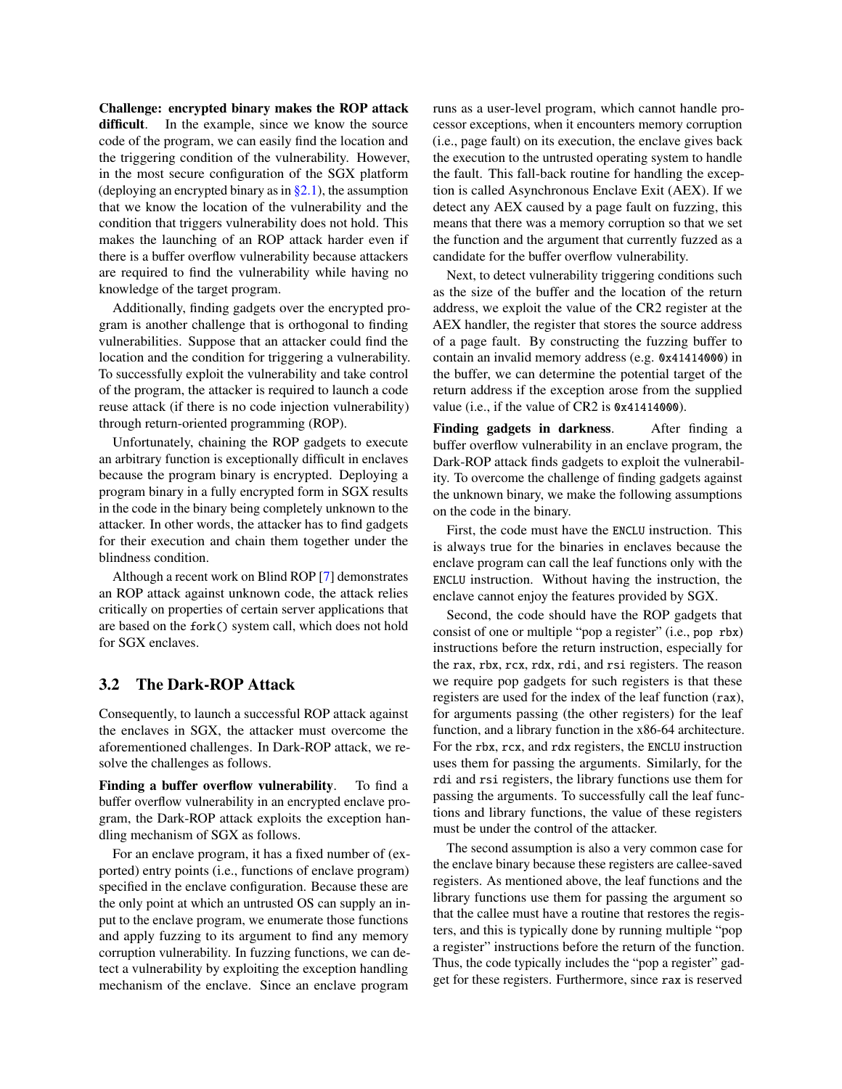Challenge: encrypted binary makes the ROP attack difficult. In the example, since we know the source code of the program, we can easily find the location and the triggering condition of the vulnerability. However, in the most secure configuration of the SGX platform (deploying an encrypted binary as in  $\S 2.1$ ), the assumption that we know the location of the vulnerability and the condition that triggers vulnerability does not hold. This makes the launching of an ROP attack harder even if there is a buffer overflow vulnerability because attackers are required to find the vulnerability while having no knowledge of the target program.

Additionally, finding gadgets over the encrypted program is another challenge that is orthogonal to finding vulnerabilities. Suppose that an attacker could find the location and the condition for triggering a vulnerability. To successfully exploit the vulnerability and take control of the program, the attacker is required to launch a code reuse attack (if there is no code injection vulnerability) through return-oriented programming (ROP).

Unfortunately, chaining the ROP gadgets to execute an arbitrary function is exceptionally difficult in enclaves because the program binary is encrypted. Deploying a program binary in a fully encrypted form in SGX results in the code in the binary being completely unknown to the attacker. In other words, the attacker has to find gadgets for their execution and chain them together under the blindness condition.

Although a recent work on Blind ROP [\[7\]](#page-14-23) demonstrates an ROP attack against unknown code, the attack relies critically on properties of certain server applications that are based on the fork() system call, which does not hold for SGX enclaves.

#### 3.2 The Dark-ROP Attack

Consequently, to launch a successful ROP attack against the enclaves in SGX, the attacker must overcome the aforementioned challenges. In Dark-ROP attack, we resolve the challenges as follows.

Finding a buffer overflow vulnerability. To find a buffer overflow vulnerability in an encrypted enclave program, the Dark-ROP attack exploits the exception handling mechanism of SGX as follows.

For an enclave program, it has a fixed number of (exported) entry points (i.e., functions of enclave program) specified in the enclave configuration. Because these are the only point at which an untrusted OS can supply an input to the enclave program, we enumerate those functions and apply fuzzing to its argument to find any memory corruption vulnerability. In fuzzing functions, we can detect a vulnerability by exploiting the exception handling mechanism of the enclave. Since an enclave program

runs as a user-level program, which cannot handle processor exceptions, when it encounters memory corruption (i.e., page fault) on its execution, the enclave gives back the execution to the untrusted operating system to handle the fault. This fall-back routine for handling the exception is called Asynchronous Enclave Exit (AEX). If we detect any AEX caused by a page fault on fuzzing, this means that there was a memory corruption so that we set the function and the argument that currently fuzzed as a candidate for the buffer overflow vulnerability.

Next, to detect vulnerability triggering conditions such as the size of the buffer and the location of the return address, we exploit the value of the CR2 register at the AEX handler, the register that stores the source address of a page fault. By constructing the fuzzing buffer to contain an invalid memory address (e.g. 0x41414000) in the buffer, we can determine the potential target of the return address if the exception arose from the supplied value (i.e., if the value of CR2 is 0x41414000).

Finding gadgets in darkness. After finding a buffer overflow vulnerability in an enclave program, the Dark-ROP attack finds gadgets to exploit the vulnerability. To overcome the challenge of finding gadgets against the unknown binary, we make the following assumptions on the code in the binary.

First, the code must have the ENCLU instruction. This is always true for the binaries in enclaves because the enclave program can call the leaf functions only with the ENCLU instruction. Without having the instruction, the enclave cannot enjoy the features provided by SGX.

Second, the code should have the ROP gadgets that consist of one or multiple "pop a register" (i.e., pop rbx) instructions before the return instruction, especially for the rax, rbx, rcx, rdx, rdi, and rsi registers. The reason we require pop gadgets for such registers is that these registers are used for the index of the leaf function (rax), for arguments passing (the other registers) for the leaf function, and a library function in the x86-64 architecture. For the rbx, rcx, and rdx registers, the ENCLU instruction uses them for passing the arguments. Similarly, for the rdi and rsi registers, the library functions use them for passing the arguments. To successfully call the leaf functions and library functions, the value of these registers must be under the control of the attacker.

The second assumption is also a very common case for the enclave binary because these registers are callee-saved registers. As mentioned above, the leaf functions and the library functions use them for passing the argument so that the callee must have a routine that restores the registers, and this is typically done by running multiple "pop a register" instructions before the return of the function. Thus, the code typically includes the "pop a register" gadget for these registers. Furthermore, since rax is reserved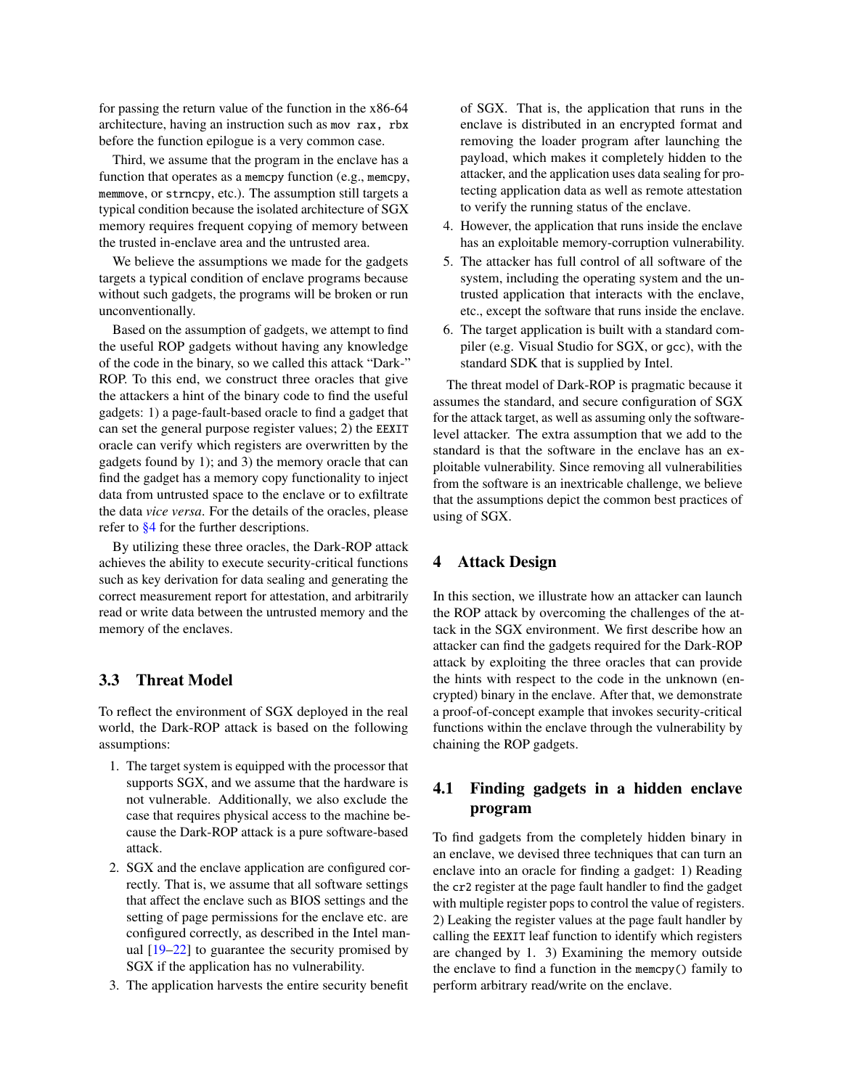for passing the return value of the function in the x86-64 architecture, having an instruction such as mov rax, rbx before the function epilogue is a very common case.

Third, we assume that the program in the enclave has a function that operates as a memcpy function (e.g., memcpy, memmove, or strncpy, etc.). The assumption still targets a typical condition because the isolated architecture of SGX memory requires frequent copying of memory between the trusted in-enclave area and the untrusted area.

We believe the assumptions we made for the gadgets targets a typical condition of enclave programs because without such gadgets, the programs will be broken or run unconventionally.

Based on the assumption of gadgets, we attempt to find the useful ROP gadgets without having any knowledge of the code in the binary, so we called this attack "Dark-" ROP. To this end, we construct three oracles that give the attackers a hint of the binary code to find the useful gadgets: 1) a page-fault-based oracle to find a gadget that can set the general purpose register values; 2) the EEXIT oracle can verify which registers are overwritten by the gadgets found by 1); and 3) the memory oracle that can find the gadget has a memory copy functionality to inject data from untrusted space to the enclave or to exfiltrate the data *vice versa*. For the details of the oracles, please refer to [§4](#page-5-0) for the further descriptions.

By utilizing these three oracles, the Dark-ROP attack achieves the ability to execute security-critical functions such as key derivation for data sealing and generating the correct measurement report for attestation, and arbitrarily read or write data between the untrusted memory and the memory of the enclaves.

## 3.3 Threat Model

To reflect the environment of SGX deployed in the real world, the Dark-ROP attack is based on the following assumptions:

- 1. The target system is equipped with the processor that supports SGX, and we assume that the hardware is not vulnerable. Additionally, we also exclude the case that requires physical access to the machine because the Dark-ROP attack is a pure software-based attack.
- 2. SGX and the enclave application are configured correctly. That is, we assume that all software settings that affect the enclave such as BIOS settings and the setting of page permissions for the enclave etc. are configured correctly, as described in the Intel manual  $[19-22]$  $[19-22]$  to guarantee the security promised by SGX if the application has no vulnerability.
- 3. The application harvests the entire security benefit

of SGX. That is, the application that runs in the enclave is distributed in an encrypted format and removing the loader program after launching the payload, which makes it completely hidden to the attacker, and the application uses data sealing for protecting application data as well as remote attestation to verify the running status of the enclave.

- 4. However, the application that runs inside the enclave has an exploitable memory-corruption vulnerability.
- 5. The attacker has full control of all software of the system, including the operating system and the untrusted application that interacts with the enclave, etc., except the software that runs inside the enclave.
- 6. The target application is built with a standard compiler (e.g. Visual Studio for SGX, or gcc), with the standard SDK that is supplied by Intel.

The threat model of Dark-ROP is pragmatic because it assumes the standard, and secure configuration of SGX for the attack target, as well as assuming only the softwarelevel attacker. The extra assumption that we add to the standard is that the software in the enclave has an exploitable vulnerability. Since removing all vulnerabilities from the software is an inextricable challenge, we believe that the assumptions depict the common best practices of using of SGX.

#### <span id="page-5-0"></span>4 Attack Design

In this section, we illustrate how an attacker can launch the ROP attack by overcoming the challenges of the attack in the SGX environment. We first describe how an attacker can find the gadgets required for the Dark-ROP attack by exploiting the three oracles that can provide the hints with respect to the code in the unknown (encrypted) binary in the enclave. After that, we demonstrate a proof-of-concept example that invokes security-critical functions within the enclave through the vulnerability by chaining the ROP gadgets.

## 4.1 Finding gadgets in a hidden enclave program

To find gadgets from the completely hidden binary in an enclave, we devised three techniques that can turn an enclave into an oracle for finding a gadget: 1) Reading the cr2 register at the page fault handler to find the gadget with multiple register pops to control the value of registers. 2) Leaking the register values at the page fault handler by calling the EEXIT leaf function to identify which registers are changed by 1. 3) Examining the memory outside the enclave to find a function in the memcpy() family to perform arbitrary read/write on the enclave.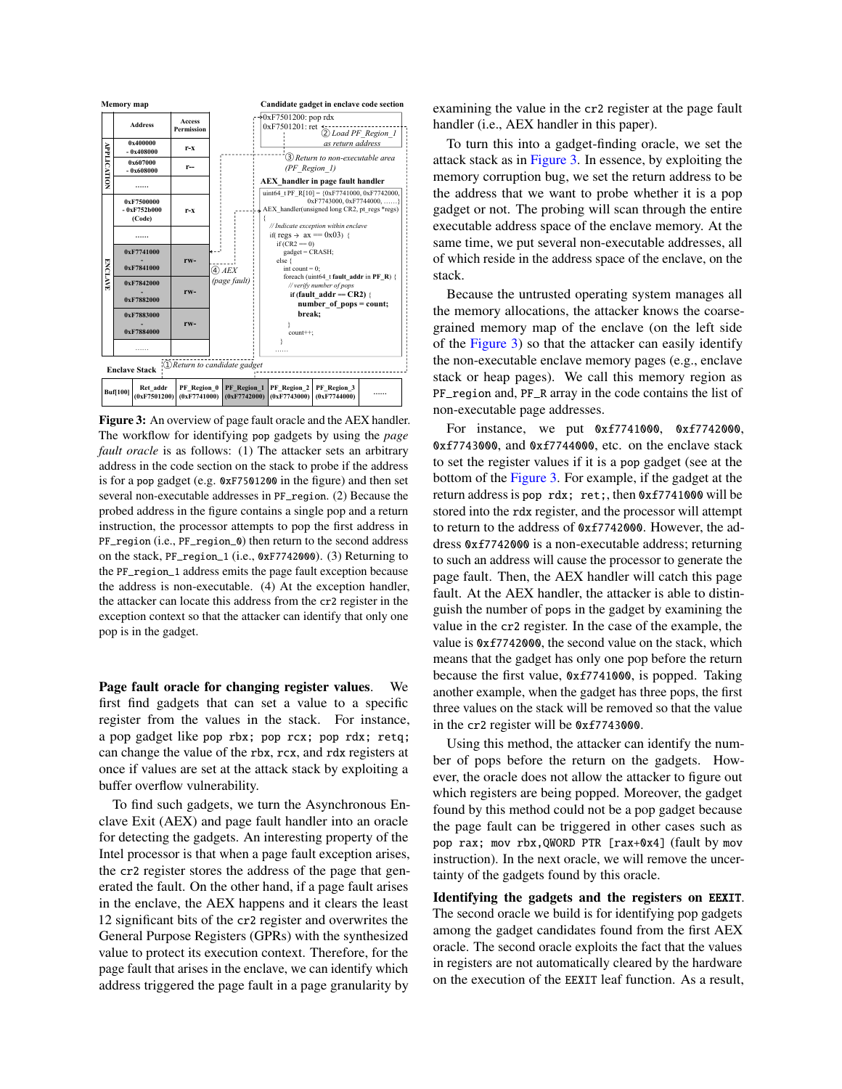<span id="page-6-0"></span>

Figure 3: An overview of page fault oracle and the AEX handler. The workflow for identifying pop gadgets by using the *page fault oracle* is as follows: (1) The attacker sets an arbitrary address in the code section on the stack to probe if the address is for a pop gadget (e.g. 0xF7501200 in the figure) and then set several non-executable addresses in PF\_region. (2) Because the probed address in the figure contains a single pop and a return instruction, the processor attempts to pop the first address in PF\_region (i.e., PF\_region\_0) then return to the second address on the stack, PF\_region\_1 (i.e., 0xF7742000). (3) Returning to the PF\_region\_1 address emits the page fault exception because the address is non-executable. (4) At the exception handler, the attacker can locate this address from the cr2 register in the exception context so that the attacker can identify that only one pop is in the gadget.

Page fault oracle for changing register values. We first find gadgets that can set a value to a specific register from the values in the stack. For instance, a pop gadget like pop rbx; pop rcx; pop rdx; retq; can change the value of the rbx, rcx, and rdx registers at once if values are set at the attack stack by exploiting a buffer overflow vulnerability.

To find such gadgets, we turn the Asynchronous Enclave Exit (AEX) and page fault handler into an oracle for detecting the gadgets. An interesting property of the Intel processor is that when a page fault exception arises, the cr2 register stores the address of the page that generated the fault. On the other hand, if a page fault arises in the enclave, the AEX happens and it clears the least 12 significant bits of the cr2 register and overwrites the General Purpose Registers (GPRs) with the synthesized value to protect its execution context. Therefore, for the page fault that arises in the enclave, we can identify which address triggered the page fault in a page granularity by

examining the value in the cr2 register at the page fault handler (i.e., AEX handler in this paper).

To turn this into a gadget-finding oracle, we set the attack stack as in [Figure 3.](#page-6-0) In essence, by exploiting the memory corruption bug, we set the return address to be the address that we want to probe whether it is a pop gadget or not. The probing will scan through the entire executable address space of the enclave memory. At the same time, we put several non-executable addresses, all of which reside in the address space of the enclave, on the stack.

**(0xF7744000) ……** PF\_region and, PF\_R array in the code contains the list of Because the untrusted operating system manages all the memory allocations, the attacker knows the coarsegrained memory map of the enclave (on the left side of the [Figure 3\)](#page-6-0) so that the attacker can easily identify the non-executable enclave memory pages (e.g., enclave stack or heap pages). We call this memory region as non-executable page addresses.

> For instance, we put 0xf7741000, 0xf7742000, 0xf7743000, and 0xf7744000, etc. on the enclave stack to set the register values if it is a pop gadget (see at the bottom of the [Figure 3.](#page-6-0) For example, if the gadget at the return address is pop rdx; ret;, then 0xf7741000 will be stored into the rdx register, and the processor will attempt to return to the address of 0xf7742000. However, the address 0xf7742000 is a non-executable address; returning to such an address will cause the processor to generate the page fault. Then, the AEX handler will catch this page fault. At the AEX handler, the attacker is able to distinguish the number of pops in the gadget by examining the value in the cr2 register. In the case of the example, the value is 0xf7742000, the second value on the stack, which means that the gadget has only one pop before the return because the first value, 0xf7741000, is popped. Taking another example, when the gadget has three pops, the first three values on the stack will be removed so that the value in the cr2 register will be 0xf7743000.

> Using this method, the attacker can identify the number of pops before the return on the gadgets. However, the oracle does not allow the attacker to figure out which registers are being popped. Moreover, the gadget found by this method could not be a pop gadget because the page fault can be triggered in other cases such as pop rax; mov rbx,QWORD PTR [rax+0x4] (fault by mov instruction). In the next oracle, we will remove the uncertainty of the gadgets found by this oracle.

> Identifying the gadgets and the registers on EEXIT. The second oracle we build is for identifying pop gadgets among the gadget candidates found from the first AEX oracle. The second oracle exploits the fact that the values in registers are not automatically cleared by the hardware on the execution of the EEXIT leaf function. As a result,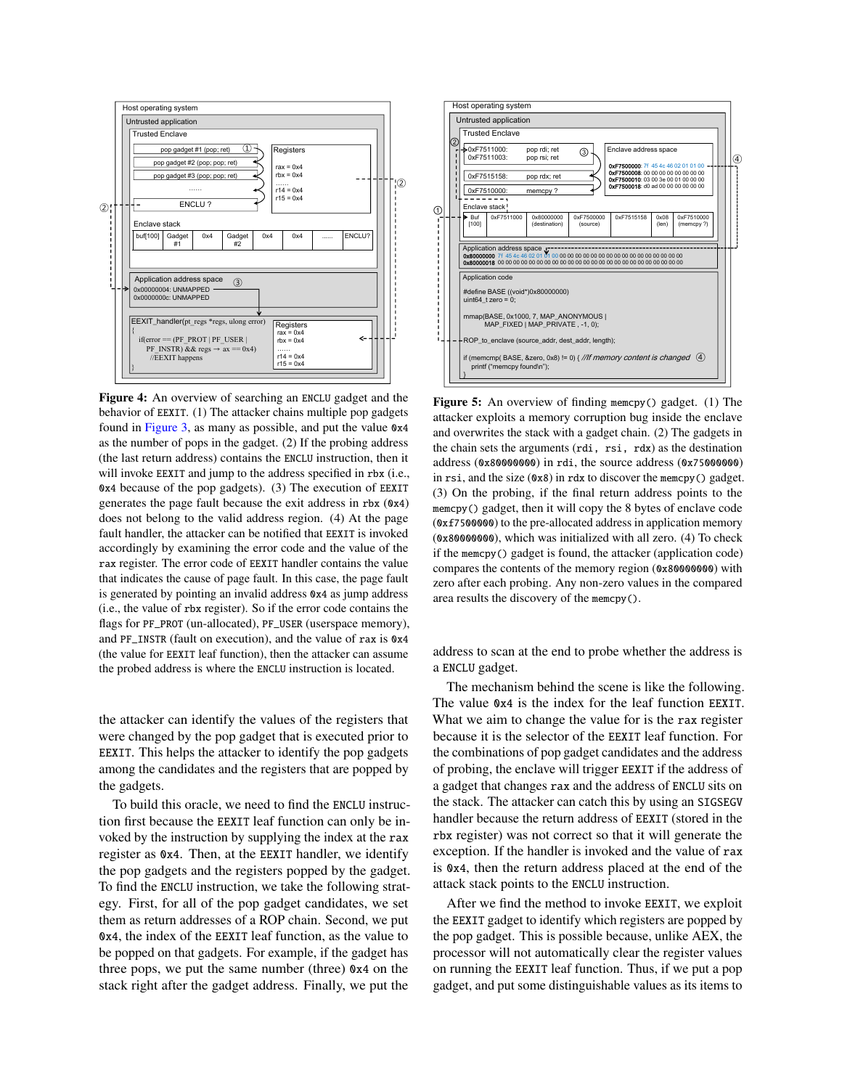

Figure 4: An overview of searching an ENCLU gadget and the behavior of EEXIT. (1) The attacker chains multiple pop gadgets found in [Figure 3,](#page-6-0) as many as possible, and put the value 0x4 as the number of pops in the gadget. (2) If the probing address (the last return address) contains the ENCLU instruction, then it will invoke EEXIT and jump to the address specified in rbx (i.e., 0x4 because of the pop gadgets). (3) The execution of EEXIT generates the page fault because the exit address in rbx (0x4) does not belong to the valid address region. (4) At the page fault handler, the attacker can be notified that EEXIT is invoked accordingly by examining the error code and the value of the rax register. The error code of EEXIT handler contains the value that indicates the cause of page fault. In this case, the page fault is generated by pointing an invalid address 0x4 as jump address (i.e., the value of rbx register). So if the error code contains the flags for PF\_PROT (un-allocated), PF\_USER (userspace memory), and PF\_INSTR (fault on execution), and the value of rax is 0x4 (the value for EEXIT leaf function), then the attacker can assume the probed address is where the ENCLU instruction is located.

the attacker can identify the values of the registers that were changed by the pop gadget that is executed prior to EEXIT. This helps the attacker to identify the pop gadgets among the candidates and the registers that are popped by the gadgets.

To build this oracle, we need to find the ENCLU instruction first because the EEXIT leaf function can only be invoked by the instruction by supplying the index at the rax register as 0x4. Then, at the EEXIT handler, we identify the pop gadgets and the registers popped by the gadget. To find the ENCLU instruction, we take the following strategy. First, for all of the pop gadget candidates, we set them as return addresses of a ROP chain. Second, we put 0x4, the index of the EEXIT leaf function, as the value to be popped on that gadgets. For example, if the gadget has three pops, we put the same number (three) 0x4 on the stack right after the gadget address. Finally, we put the



Figure 5: An overview of finding memcpy() gadget. (1) The attacker exploits a memory corruption bug inside the enclave and overwrites the stack with a gadget chain. (2) The gadgets in the chain sets the arguments (rdi, rsi, rdx) as the destination address (0x80000000) in rdi, the source address (0x75000000) in rsi, and the size (0x8) in rdx to discover the memcpy() gadget. (3) On the probing, if the final return address points to the memcpy() gadget, then it will copy the 8 bytes of enclave code (0xf7500000) to the pre-allocated address in application memory (0x80000000), which was initialized with all zero. (4) To check if the memcpy() gadget is found, the attacker (application code) compares the contents of the memory region (0x80000000) with zero after each probing. Any non-zero values in the compared area results the discovery of the memcpy().

address to scan at the end to probe whether the address is a ENCLU gadget.

The mechanism behind the scene is like the following. The value 0x4 is the index for the leaf function EEXIT. What we aim to change the value for is the rax register because it is the selector of the EEXIT leaf function. For the combinations of pop gadget candidates and the address of probing, the enclave will trigger EEXIT if the address of a gadget that changes rax and the address of ENCLU sits on the stack. The attacker can catch this by using an SIGSEGV handler because the return address of EEXIT (stored in the rbx register) was not correct so that it will generate the exception. If the handler is invoked and the value of rax is 0x4, then the return address placed at the end of the attack stack points to the ENCLU instruction.

After we find the method to invoke EEXIT, we exploit the EEXIT gadget to identify which registers are popped by the pop gadget. This is possible because, unlike AEX, the processor will not automatically clear the register values on running the EEXIT leaf function. Thus, if we put a pop gadget, and put some distinguishable values as its items to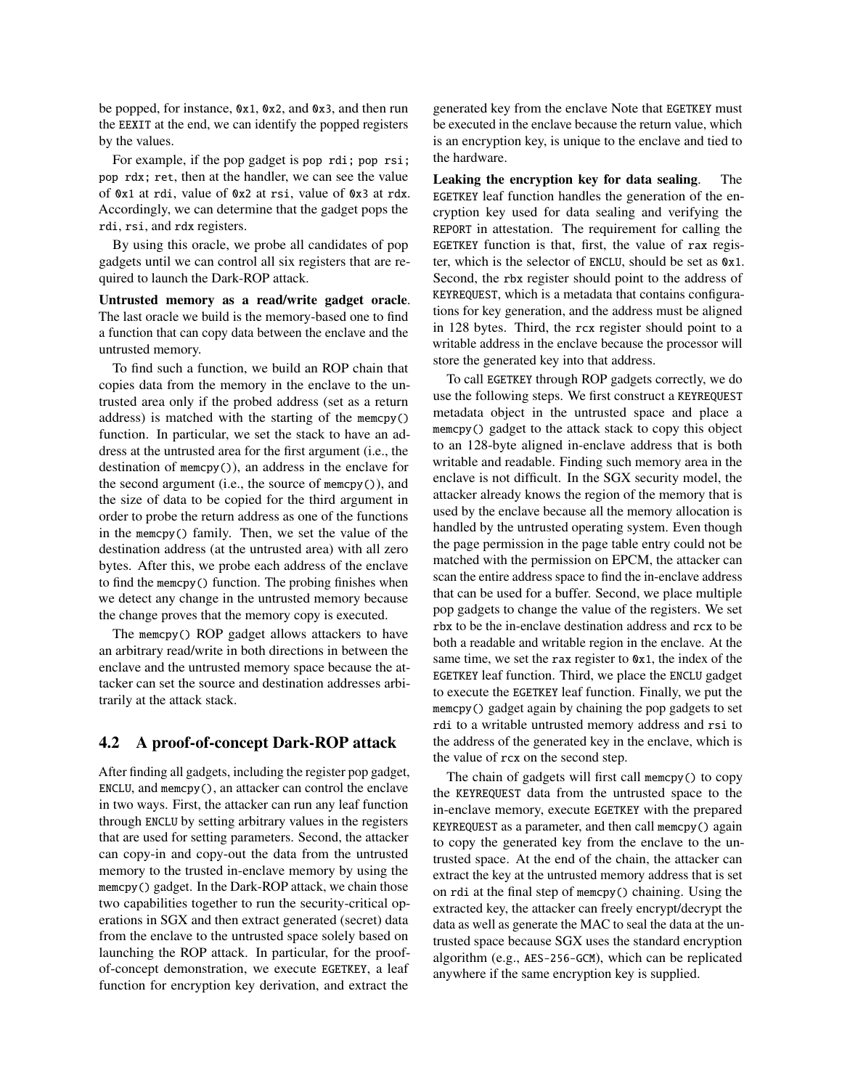be popped, for instance, 0x1, 0x2, and 0x3, and then run the EEXIT at the end, we can identify the popped registers by the values.

For example, if the pop gadget is pop rdi; pop rsi; pop rdx; ret, then at the handler, we can see the value of 0x1 at rdi, value of 0x2 at rsi, value of 0x3 at rdx. Accordingly, we can determine that the gadget pops the rdi, rsi, and rdx registers.

By using this oracle, we probe all candidates of pop gadgets until we can control all six registers that are required to launch the Dark-ROP attack.

Untrusted memory as a read/write gadget oracle. The last oracle we build is the memory-based one to find a function that can copy data between the enclave and the untrusted memory.

To find such a function, we build an ROP chain that copies data from the memory in the enclave to the untrusted area only if the probed address (set as a return address) is matched with the starting of the memcpy() function. In particular, we set the stack to have an address at the untrusted area for the first argument (i.e., the destination of memcpy()), an address in the enclave for the second argument (i.e., the source of memcpy()), and the size of data to be copied for the third argument in order to probe the return address as one of the functions in the memcpy() family. Then, we set the value of the destination address (at the untrusted area) with all zero bytes. After this, we probe each address of the enclave to find the memcpy() function. The probing finishes when we detect any change in the untrusted memory because the change proves that the memory copy is executed.

The memcpy() ROP gadget allows attackers to have an arbitrary read/write in both directions in between the enclave and the untrusted memory space because the attacker can set the source and destination addresses arbitrarily at the attack stack.

## 4.2 A proof-of-concept Dark-ROP attack

After finding all gadgets, including the register pop gadget, ENCLU, and memcpy(), an attacker can control the enclave in two ways. First, the attacker can run any leaf function through ENCLU by setting arbitrary values in the registers that are used for setting parameters. Second, the attacker can copy-in and copy-out the data from the untrusted memory to the trusted in-enclave memory by using the memcpy() gadget. In the Dark-ROP attack, we chain those two capabilities together to run the security-critical operations in SGX and then extract generated (secret) data from the enclave to the untrusted space solely based on launching the ROP attack. In particular, for the proofof-concept demonstration, we execute EGETKEY, a leaf function for encryption key derivation, and extract the

generated key from the enclave Note that EGETKEY must be executed in the enclave because the return value, which is an encryption key, is unique to the enclave and tied to the hardware.

Leaking the encryption key for data sealing. The EGETKEY leaf function handles the generation of the encryption key used for data sealing and verifying the REPORT in attestation. The requirement for calling the EGETKEY function is that, first, the value of rax register, which is the selector of ENCLU, should be set as 0x1. Second, the rbx register should point to the address of KEYREQUEST, which is a metadata that contains configurations for key generation, and the address must be aligned in 128 bytes. Third, the rcx register should point to a writable address in the enclave because the processor will store the generated key into that address.

To call EGETKEY through ROP gadgets correctly, we do use the following steps. We first construct a KEYREQUEST metadata object in the untrusted space and place a memcpy() gadget to the attack stack to copy this object to an 128-byte aligned in-enclave address that is both writable and readable. Finding such memory area in the enclave is not difficult. In the SGX security model, the attacker already knows the region of the memory that is used by the enclave because all the memory allocation is handled by the untrusted operating system. Even though the page permission in the page table entry could not be matched with the permission on EPCM, the attacker can scan the entire address space to find the in-enclave address that can be used for a buffer. Second, we place multiple pop gadgets to change the value of the registers. We set rbx to be the in-enclave destination address and rcx to be both a readable and writable region in the enclave. At the same time, we set the rax register to  $0x1$ , the index of the EGETKEY leaf function. Third, we place the ENCLU gadget to execute the EGETKEY leaf function. Finally, we put the memcpy() gadget again by chaining the pop gadgets to set rdi to a writable untrusted memory address and rsi to the address of the generated key in the enclave, which is the value of rcx on the second step.

<span id="page-8-0"></span>The chain of gadgets will first call memcpy() to copy the KEYREQUEST data from the untrusted space to the in-enclave memory, execute EGETKEY with the prepared KEYREQUEST as a parameter, and then call memcpy() again to copy the generated key from the enclave to the untrusted space. At the end of the chain, the attacker can extract the key at the untrusted memory address that is set on rdi at the final step of memcpy() chaining. Using the extracted key, the attacker can freely encrypt/decrypt the data as well as generate the MAC to seal the data at the untrusted space because SGX uses the standard encryption algorithm (e.g., AES-256-GCM), which can be replicated anywhere if the same encryption key is supplied.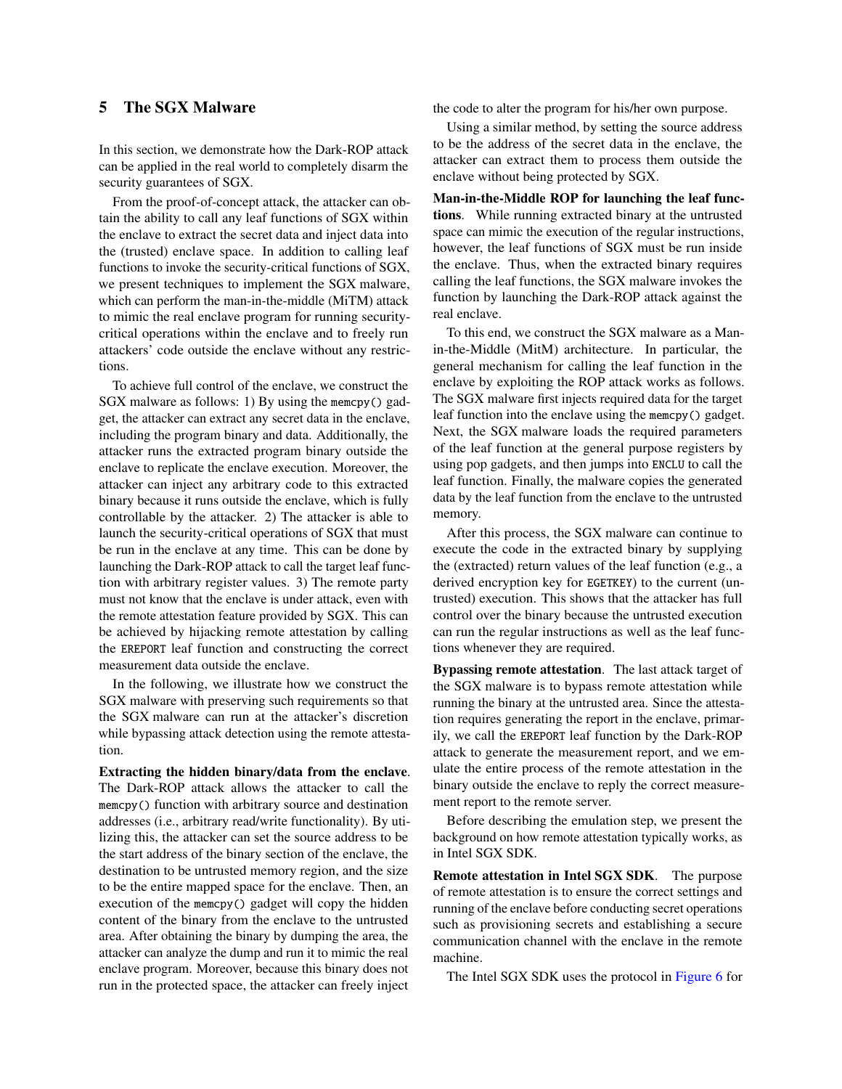## 5 The SGX Malware

In this section, we demonstrate how the Dark-ROP attack can be applied in the real world to completely disarm the security guarantees of SGX.

From the proof-of-concept attack, the attacker can obtain the ability to call any leaf functions of SGX within the enclave to extract the secret data and inject data into the (trusted) enclave space. In addition to calling leaf functions to invoke the security-critical functions of SGX, we present techniques to implement the SGX malware, which can perform the man-in-the-middle (MiTM) attack to mimic the real enclave program for running securitycritical operations within the enclave and to freely run attackers' code outside the enclave without any restrictions.

To achieve full control of the enclave, we construct the SGX malware as follows: 1) By using the memcpy() gadget, the attacker can extract any secret data in the enclave, including the program binary and data. Additionally, the attacker runs the extracted program binary outside the enclave to replicate the enclave execution. Moreover, the attacker can inject any arbitrary code to this extracted binary because it runs outside the enclave, which is fully controllable by the attacker. 2) The attacker is able to launch the security-critical operations of SGX that must be run in the enclave at any time. This can be done by launching the Dark-ROP attack to call the target leaf function with arbitrary register values. 3) The remote party must not know that the enclave is under attack, even with the remote attestation feature provided by SGX. This can be achieved by hijacking remote attestation by calling the EREPORT leaf function and constructing the correct measurement data outside the enclave.

In the following, we illustrate how we construct the SGX malware with preserving such requirements so that the SGX malware can run at the attacker's discretion while bypassing attack detection using the remote attestation.

Extracting the hidden binary/data from the enclave. The Dark-ROP attack allows the attacker to call the memcpy() function with arbitrary source and destination addresses (i.e., arbitrary read/write functionality). By utilizing this, the attacker can set the source address to be the start address of the binary section of the enclave, the destination to be untrusted memory region, and the size to be the entire mapped space for the enclave. Then, an execution of the memcpy() gadget will copy the hidden content of the binary from the enclave to the untrusted area. After obtaining the binary by dumping the area, the attacker can analyze the dump and run it to mimic the real enclave program. Moreover, because this binary does not run in the protected space, the attacker can freely inject

the code to alter the program for his/her own purpose.

Using a similar method, by setting the source address to be the address of the secret data in the enclave, the attacker can extract them to process them outside the enclave without being protected by SGX.

Man-in-the-Middle ROP for launching the leaf functions. While running extracted binary at the untrusted space can mimic the execution of the regular instructions, however, the leaf functions of SGX must be run inside the enclave. Thus, when the extracted binary requires calling the leaf functions, the SGX malware invokes the function by launching the Dark-ROP attack against the real enclave.

To this end, we construct the SGX malware as a Manin-the-Middle (MitM) architecture. In particular, the general mechanism for calling the leaf function in the enclave by exploiting the ROP attack works as follows. The SGX malware first injects required data for the target leaf function into the enclave using the memcpy() gadget. Next, the SGX malware loads the required parameters of the leaf function at the general purpose registers by using pop gadgets, and then jumps into ENCLU to call the leaf function. Finally, the malware copies the generated data by the leaf function from the enclave to the untrusted memory.

After this process, the SGX malware can continue to execute the code in the extracted binary by supplying the (extracted) return values of the leaf function (e.g., a derived encryption key for EGETKEY) to the current (untrusted) execution. This shows that the attacker has full control over the binary because the untrusted execution can run the regular instructions as well as the leaf functions whenever they are required.

Bypassing remote attestation. The last attack target of the SGX malware is to bypass remote attestation while running the binary at the untrusted area. Since the attestation requires generating the report in the enclave, primarily, we call the EREPORT leaf function by the Dark-ROP attack to generate the measurement report, and we emulate the entire process of the remote attestation in the binary outside the enclave to reply the correct measurement report to the remote server.

Before describing the emulation step, we present the background on how remote attestation typically works, as in Intel SGX SDK.

Remote attestation in Intel SGX SDK. The purpose of remote attestation is to ensure the correct settings and running of the enclave before conducting secret operations such as provisioning secrets and establishing a secure communication channel with the enclave in the remote machine.

The Intel SGX SDK uses the protocol in [Figure 6](#page-10-0) for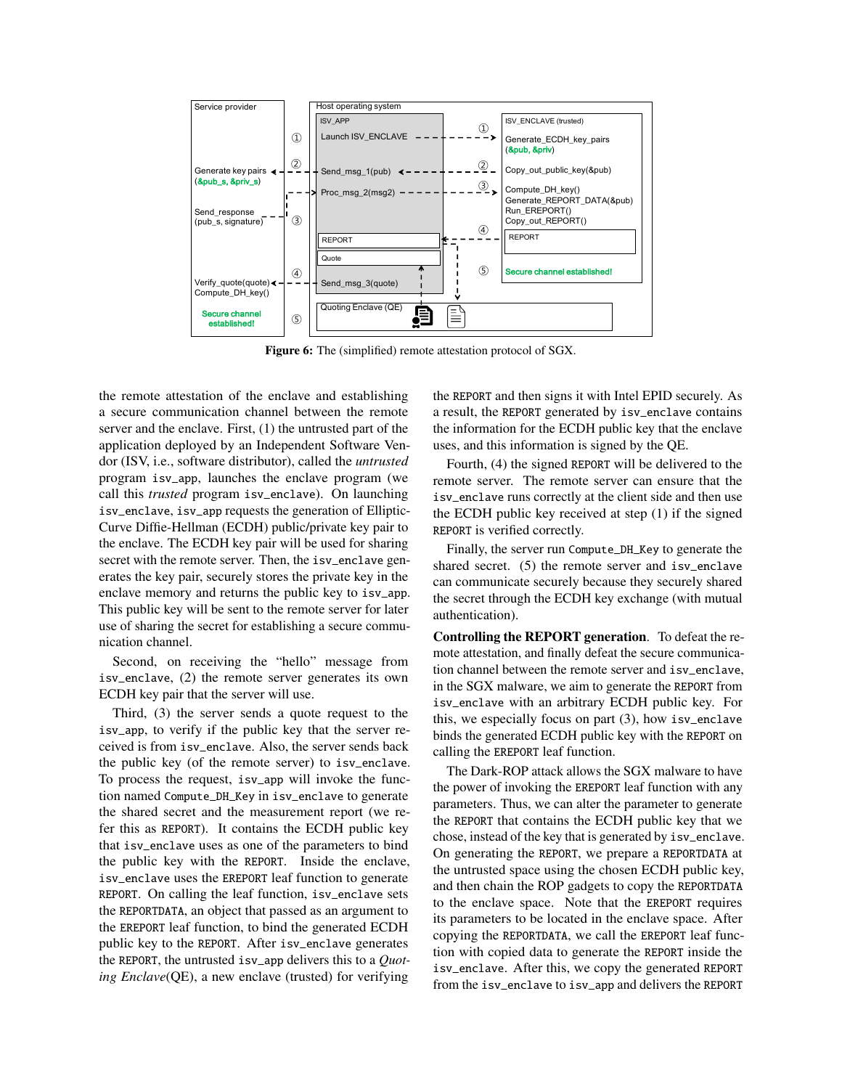<span id="page-10-0"></span>

Figure 6: The (simplified) remote attestation protocol of SGX.

the remote attestation of the enclave and establishing a secure communication channel between the remote server and the enclave. First, (1) the untrusted part of the application deployed by an Independent Software Vendor (ISV, i.e., software distributor), called the *untrusted* program isv\_app, launches the enclave program (we call this *trusted* program isv\_enclave). On launching isv\_enclave, isv\_app requests the generation of Elliptic-Curve Diffie-Hellman (ECDH) public/private key pair to the enclave. The ECDH key pair will be used for sharing secret with the remote server. Then, the isv\_enclave generates the key pair, securely stores the private key in the enclave memory and returns the public key to isv\_app. This public key will be sent to the remote server for later use of sharing the secret for establishing a secure communication channel.

Second, on receiving the "hello" message from isv\_enclave, (2) the remote server generates its own ECDH key pair that the server will use.

Third, (3) the server sends a quote request to the isv\_app, to verify if the public key that the server received is from isv\_enclave. Also, the server sends back the public key (of the remote server) to isv\_enclave. To process the request, isv\_app will invoke the function named Compute\_DH\_Key in isv\_enclave to generate the shared secret and the measurement report (we refer this as REPORT). It contains the ECDH public key that isv\_enclave uses as one of the parameters to bind the public key with the REPORT. Inside the enclave, isv\_enclave uses the EREPORT leaf function to generate REPORT. On calling the leaf function, isv\_enclave sets the REPORTDATA, an object that passed as an argument to the EREPORT leaf function, to bind the generated ECDH public key to the REPORT. After isv\_enclave generates the REPORT, the untrusted isv\_app delivers this to a *Quoting Enclave*(QE), a new enclave (trusted) for verifying

the REPORT and then signs it with Intel EPID securely. As a result, the REPORT generated by isv\_enclave contains the information for the ECDH public key that the enclave uses, and this information is signed by the QE.

Fourth, (4) the signed REPORT will be delivered to the remote server. The remote server can ensure that the isv\_enclave runs correctly at the client side and then use the ECDH public key received at step (1) if the signed REPORT is verified correctly.

Finally, the server run Compute\_DH\_Key to generate the shared secret. (5) the remote server and isv\_enclave can communicate securely because they securely shared the secret through the ECDH key exchange (with mutual authentication).

Controlling the REPORT generation. To defeat the remote attestation, and finally defeat the secure communication channel between the remote server and isv\_enclave, in the SGX malware, we aim to generate the REPORT from isv\_enclave with an arbitrary ECDH public key. For this, we especially focus on part (3), how isv\_enclave binds the generated ECDH public key with the REPORT on calling the EREPORT leaf function.

The Dark-ROP attack allows the SGX malware to have the power of invoking the EREPORT leaf function with any parameters. Thus, we can alter the parameter to generate the REPORT that contains the ECDH public key that we chose, instead of the key that is generated by isv\_enclave. On generating the REPORT, we prepare a REPORTDATA at the untrusted space using the chosen ECDH public key, and then chain the ROP gadgets to copy the REPORTDATA to the enclave space. Note that the EREPORT requires its parameters to be located in the enclave space. After copying the REPORTDATA, we call the EREPORT leaf function with copied data to generate the REPORT inside the isv\_enclave. After this, we copy the generated REPORT from the isv\_enclave to isv\_app and delivers the REPORT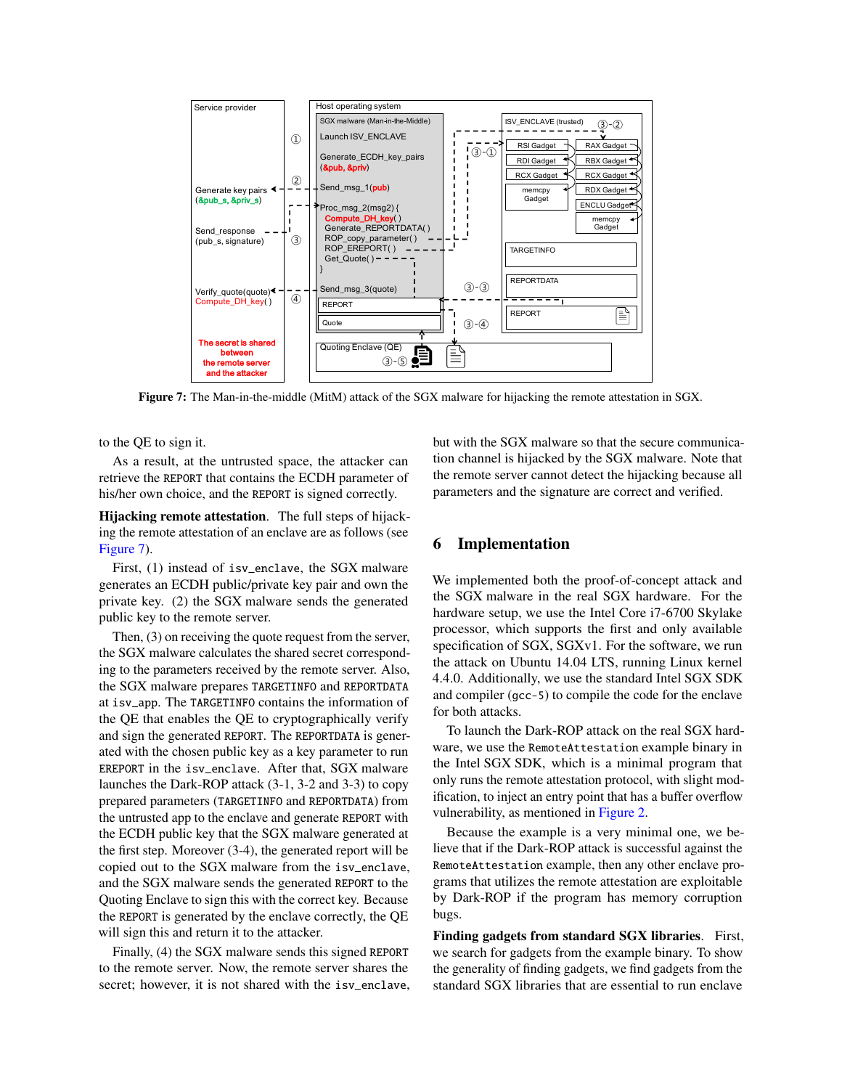<span id="page-11-0"></span>

Figure 7: The Man-in-the-middle (MitM) attack of the SGX malware for hijacking the remote attestation in SGX.

to the QE to sign it.

As a result, at the untrusted space, the attacker can retrieve the REPORT that contains the ECDH parameter of his/her own choice, and the REPORT is signed correctly.

Hijacking remote attestation. The full steps of hijacking the remote attestation of an enclave are as follows (see [Figure 7\)](#page-11-0).

First, (1) instead of isv\_enclave, the SGX malware generates an ECDH public/private key pair and own the private key. (2) the SGX malware sends the generated public key to the remote server.

Then, (3) on receiving the quote request from the server, the SGX malware calculates the shared secret corresponding to the parameters received by the remote server. Also, the SGX malware prepares TARGETINFO and REPORTDATA at isv\_app. The TARGETINFO contains the information of the QE that enables the QE to cryptographically verify and sign the generated REPORT. The REPORTDATA is generated with the chosen public key as a key parameter to run EREPORT in the isv\_enclave. After that, SGX malware launches the Dark-ROP attack (3-1, 3-2 and 3-3) to copy prepared parameters (TARGETINFO and REPORTDATA) from the untrusted app to the enclave and generate REPORT with the ECDH public key that the SGX malware generated at the first step. Moreover (3-4), the generated report will be copied out to the SGX malware from the isv\_enclave, and the SGX malware sends the generated REPORT to the Quoting Enclave to sign this with the correct key. Because the REPORT is generated by the enclave correctly, the QE will sign this and return it to the attacker.

Finally, (4) the SGX malware sends this signed REPORT to the remote server. Now, the remote server shares the secret; however, it is not shared with the isv\_enclave, but with the SGX malware so that the secure communication channel is hijacked by the SGX malware. Note that the remote server cannot detect the hijacking because all parameters and the signature are correct and verified.

## 6 Implementation

We implemented both the proof-of-concept attack and the SGX malware in the real SGX hardware. For the hardware setup, we use the Intel Core i7-6700 Skylake processor, which supports the first and only available specification of SGX, SGXv1. For the software, we run the attack on Ubuntu 14.04 LTS, running Linux kernel 4.4.0. Additionally, we use the standard Intel SGX SDK and compiler (gcc-5) to compile the code for the enclave for both attacks.

To launch the Dark-ROP attack on the real SGX hardware, we use the RemoteAttestation example binary in the Intel SGX SDK, which is a minimal program that only runs the remote attestation protocol, with slight modification, to inject an entry point that has a buffer overflow vulnerability, as mentioned in [Figure 2.](#page-3-2)

Because the example is a very minimal one, we believe that if the Dark-ROP attack is successful against the RemoteAttestation example, then any other enclave programs that utilizes the remote attestation are exploitable by Dark-ROP if the program has memory corruption bugs.

Finding gadgets from standard SGX libraries. First, we search for gadgets from the example binary. To show the generality of finding gadgets, we find gadgets from the standard SGX libraries that are essential to run enclave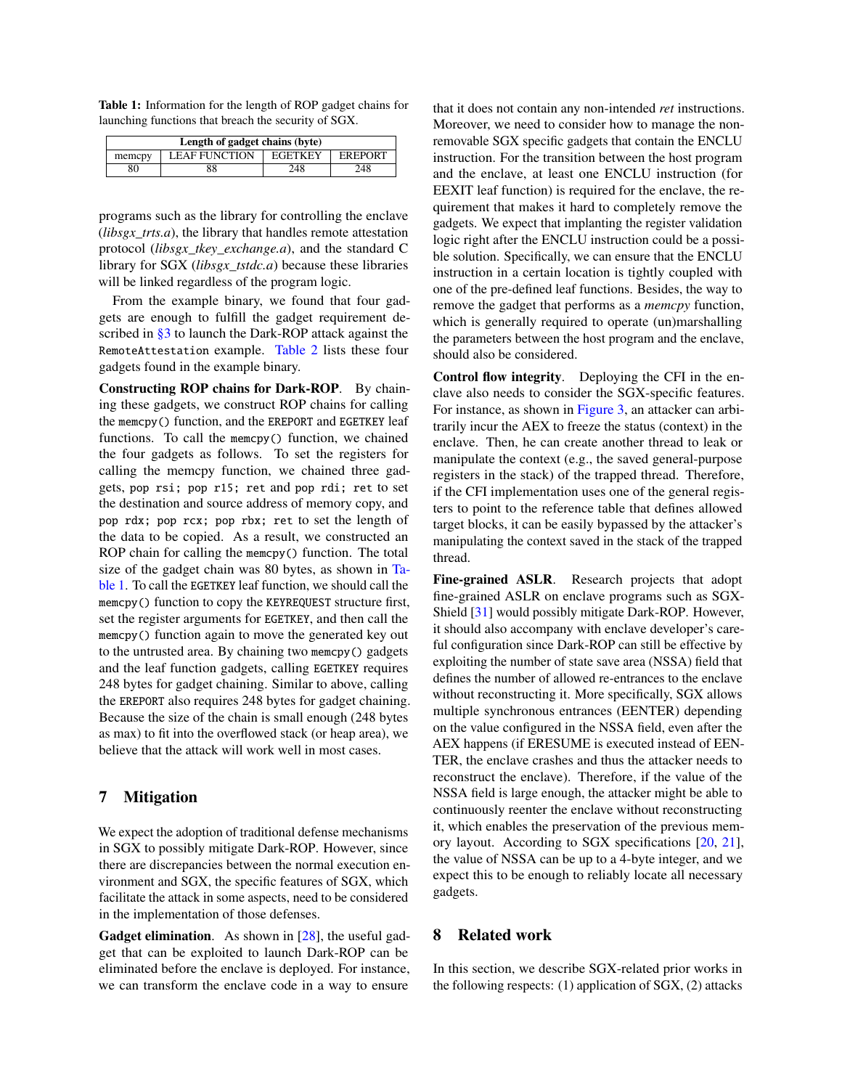<span id="page-12-2"></span>Table 1: Information for the length of ROP gadget chains for launching functions that breach the security of SGX.

| Length of gadget chains (byte) |                      |                |                |  |
|--------------------------------|----------------------|----------------|----------------|--|
| memcpy                         | <b>LEAF FUNCTION</b> | <b>EGETKEY</b> | <b>EREPORT</b> |  |
|                                | 88                   | 248            | 248            |  |

programs such as the library for controlling the enclave (*libsgx\_trts.a*), the library that handles remote attestation protocol (*libsgx\_tkey\_exchange.a*), and the standard C library for SGX (*libsgx\_tstdc.a*) because these libraries will be linked regardless of the program logic.

From the example binary, we found that four gadgets are enough to fulfill the gadget requirement de-scribed in [§3](#page-3-0) to launch the Dark-ROP attack against the RemoteAttestation example. [Table 2](#page-16-0) lists these four gadgets found in the example binary.

Constructing ROP chains for Dark-ROP. By chaining these gadgets, we construct ROP chains for calling the memcpy() function, and the EREPORT and EGETKEY leaf functions. To call the memcpy() function, we chained the four gadgets as follows. To set the registers for calling the memcpy function, we chained three gadgets, pop rsi; pop r15; ret and pop rdi; ret to set the destination and source address of memory copy, and pop rdx; pop rcx; pop rbx; ret to set the length of the data to be copied. As a result, we constructed an ROP chain for calling the memcpy() function. The total size of the gadget chain was 80 bytes, as shown in [Ta](#page-12-2)[ble 1.](#page-12-2) To call the EGETKEY leaf function, we should call the memcpy() function to copy the KEYREQUEST structure first, set the register arguments for EGETKEY, and then call the memcpy() function again to move the generated key out to the untrusted area. By chaining two memcpy() gadgets and the leaf function gadgets, calling EGETKEY requires 248 bytes for gadget chaining. Similar to above, calling the EREPORT also requires 248 bytes for gadget chaining. Because the size of the chain is small enough (248 bytes as max) to fit into the overflowed stack (or heap area), we believe that the attack will work well in most cases.

## <span id="page-12-0"></span>7 Mitigation

We expect the adoption of traditional defense mechanisms in SGX to possibly mitigate Dark-ROP. However, since there are discrepancies between the normal execution environment and SGX, the specific features of SGX, which facilitate the attack in some aspects, need to be considered in the implementation of those defenses.

Gadget elimination. As shown in [\[28\]](#page-14-25), the useful gadget that can be exploited to launch Dark-ROP can be eliminated before the enclave is deployed. For instance, we can transform the enclave code in a way to ensure

that it does not contain any non-intended *ret* instructions. Moreover, we need to consider how to manage the nonremovable SGX specific gadgets that contain the ENCLU instruction. For the transition between the host program and the enclave, at least one ENCLU instruction (for EEXIT leaf function) is required for the enclave, the requirement that makes it hard to completely remove the gadgets. We expect that implanting the register validation logic right after the ENCLU instruction could be a possible solution. Specifically, we can ensure that the ENCLU instruction in a certain location is tightly coupled with one of the pre-defined leaf functions. Besides, the way to remove the gadget that performs as a *memcpy* function, which is generally required to operate (un)marshalling the parameters between the host program and the enclave, should also be considered.

Control flow integrity. Deploying the CFI in the enclave also needs to consider the SGX-specific features. For instance, as shown in [Figure 3,](#page-6-0) an attacker can arbitrarily incur the AEX to freeze the status (context) in the enclave. Then, he can create another thread to leak or manipulate the context (e.g., the saved general-purpose registers in the stack) of the trapped thread. Therefore, if the CFI implementation uses one of the general registers to point to the reference table that defines allowed target blocks, it can be easily bypassed by the attacker's manipulating the context saved in the stack of the trapped thread.

Fine-grained ASLR. Research projects that adopt fine-grained ASLR on enclave programs such as SGX-Shield [\[31\]](#page-15-8) would possibly mitigate Dark-ROP. However, it should also accompany with enclave developer's careful configuration since Dark-ROP can still be effective by exploiting the number of state save area (NSSA) field that defines the number of allowed re-entrances to the enclave without reconstructing it. More specifically, SGX allows multiple synchronous entrances (EENTER) depending on the value configured in the NSSA field, even after the AEX happens (if ERESUME is executed instead of EEN-TER, the enclave crashes and thus the attacker needs to reconstruct the enclave). Therefore, if the value of the NSSA field is large enough, the attacker might be able to continuously reenter the enclave without reconstructing it, which enables the preservation of the previous memory layout. According to SGX specifications [\[20,](#page-14-22) [21\]](#page-14-26), the value of NSSA can be up to a 4-byte integer, and we expect this to be enough to reliably locate all necessary gadgets.

## <span id="page-12-1"></span>8 Related work

In this section, we describe SGX-related prior works in the following respects: (1) application of SGX, (2) attacks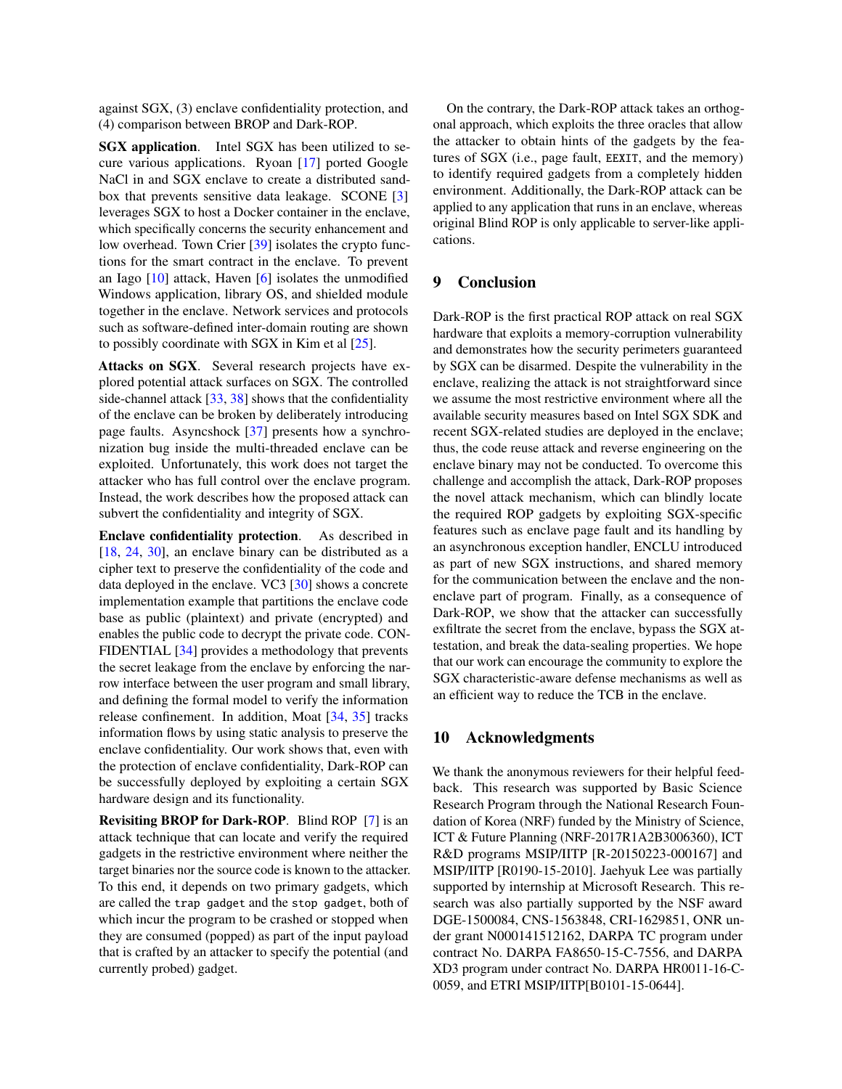against SGX, (3) enclave confidentiality protection, and (4) comparison between BROP and Dark-ROP.

SGX application. Intel SGX has been utilized to secure various applications. Ryoan [\[17\]](#page-14-5) ported Google NaCl in and SGX enclave to create a distributed sandbox that prevents sensitive data leakage. SCONE [\[3\]](#page-14-3) leverages SGX to host a Docker container in the enclave, which specifically concerns the security enhancement and low overhead. Town Crier [\[39\]](#page-15-1) isolates the crypto functions for the smart contract in the enclave. To prevent an Iago [\[10\]](#page-14-27) attack, Haven [\[6\]](#page-14-4) isolates the unmodified Windows application, library OS, and shielded module together in the enclave. Network services and protocols such as software-defined inter-domain routing are shown to possibly coordinate with SGX in Kim et al [\[25\]](#page-14-28).

Attacks on SGX. Several research projects have explored potential attack surfaces on SGX. The controlled side-channel attack [\[33,](#page-15-2) [38\]](#page-15-3) shows that the confidentiality of the enclave can be broken by deliberately introducing page faults. Asyncshock [\[37\]](#page-15-4) presents how a synchronization bug inside the multi-threaded enclave can be exploited. Unfortunately, this work does not target the attacker who has full control over the enclave program. Instead, the work describes how the proposed attack can subvert the confidentiality and integrity of SGX.

Enclave confidentiality protection. As described in [\[18,](#page-14-29) [24,](#page-14-19) [30\]](#page-14-7), an enclave binary can be distributed as a cipher text to preserve the confidentiality of the code and data deployed in the enclave. VC3 [\[30\]](#page-14-7) shows a concrete implementation example that partitions the enclave code base as public (plaintext) and private (encrypted) and enables the public code to decrypt the private code. CON-FIDENTIAL [\[34\]](#page-15-6) provides a methodology that prevents the secret leakage from the enclave by enforcing the narrow interface between the user program and small library, and defining the formal model to verify the information release confinement. In addition, Moat [\[34,](#page-15-6) [35\]](#page-15-7) tracks information flows by using static analysis to preserve the enclave confidentiality. Our work shows that, even with the protection of enclave confidentiality, Dark-ROP can be successfully deployed by exploiting a certain SGX hardware design and its functionality.

Revisiting BROP for Dark-ROP. Blind ROP [\[7\]](#page-14-23) is an attack technique that can locate and verify the required gadgets in the restrictive environment where neither the target binaries nor the source code is known to the attacker. To this end, it depends on two primary gadgets, which are called the trap gadget and the stop gadget, both of which incur the program to be crashed or stopped when they are consumed (popped) as part of the input payload that is crafted by an attacker to specify the potential (and currently probed) gadget.

On the contrary, the Dark-ROP attack takes an orthogonal approach, which exploits the three oracles that allow the attacker to obtain hints of the gadgets by the features of SGX (i.e., page fault, EEXIT, and the memory) to identify required gadgets from a completely hidden environment. Additionally, the Dark-ROP attack can be applied to any application that runs in an enclave, whereas original Blind ROP is only applicable to server-like applications.

## <span id="page-13-0"></span>9 Conclusion

Dark-ROP is the first practical ROP attack on real SGX hardware that exploits a memory-corruption vulnerability and demonstrates how the security perimeters guaranteed by SGX can be disarmed. Despite the vulnerability in the enclave, realizing the attack is not straightforward since we assume the most restrictive environment where all the available security measures based on Intel SGX SDK and recent SGX-related studies are deployed in the enclave; thus, the code reuse attack and reverse engineering on the enclave binary may not be conducted. To overcome this challenge and accomplish the attack, Dark-ROP proposes the novel attack mechanism, which can blindly locate the required ROP gadgets by exploiting SGX-specific features such as enclave page fault and its handling by an asynchronous exception handler, ENCLU introduced as part of new SGX instructions, and shared memory for the communication between the enclave and the nonenclave part of program. Finally, as a consequence of Dark-ROP, we show that the attacker can successfully exfiltrate the secret from the enclave, bypass the SGX attestation, and break the data-sealing properties. We hope that our work can encourage the community to explore the SGX characteristic-aware defense mechanisms as well as an efficient way to reduce the TCB in the enclave.

#### 10 Acknowledgments

We thank the anonymous reviewers for their helpful feedback. This research was supported by Basic Science Research Program through the National Research Foundation of Korea (NRF) funded by the Ministry of Science, ICT & Future Planning (NRF-2017R1A2B3006360), ICT R&D programs MSIP/IITP [R-20150223-000167] and MSIP/IITP [R0190-15-2010]. Jaehyuk Lee was partially supported by internship at Microsoft Research. This research was also partially supported by the NSF award DGE-1500084, CNS-1563848, CRI-1629851, ONR under grant N000141512162, DARPA TC program under contract No. DARPA FA8650-15-C-7556, and DARPA XD3 program under contract No. DARPA HR0011-16-C-0059, and ETRI MSIP/IITP[B0101-15-0644].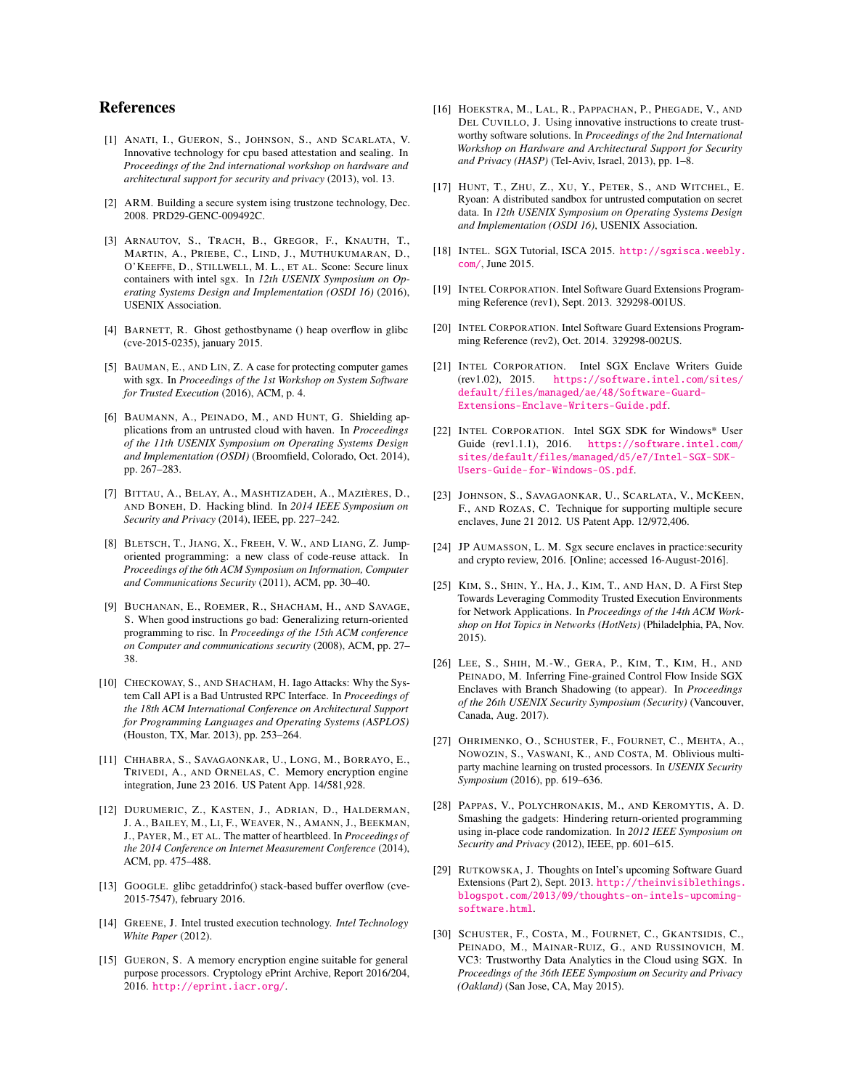## References

- <span id="page-14-17"></span>[1] ANATI, I., GUERON, S., JOHNSON, S., AND SCARLATA, V. Innovative technology for cpu based attestation and sealing. In *Proceedings of the 2nd international workshop on hardware and architectural support for security and privacy* (2013), vol. 13.
- <span id="page-14-0"></span>[2] ARM. Building a secure system ising trustzone technology, Dec. 2008. PRD29-GENC-009492C.
- <span id="page-14-3"></span>[3] ARNAUTOV, S., TRACH, B., GREGOR, F., KNAUTH, T., MARTIN, A., PRIEBE, C., LIND, J., MUTHUKUMARAN, D., O'KEEFFE, D., STILLWELL, M. L., ET AL. Scone: Secure linux containers with intel sgx. In *12th USENIX Symposium on Operating Systems Design and Implementation (OSDI 16)* (2016), USENIX Association.
- <span id="page-14-9"></span>[4] BARNETT, R. Ghost gethostbyname () heap overflow in glibc (cve-2015-0235), january 2015.
- <span id="page-14-18"></span>[5] BAUMAN, E., AND LIN, Z. A case for protecting computer games with sgx. In *Proceedings of the 1st Workshop on System Software for Trusted Execution* (2016), ACM, p. 4.
- <span id="page-14-4"></span>[6] BAUMANN, A., PEINADO, M., AND HUNT, G. Shielding applications from an untrusted cloud with haven. In *Proceedings of the 11th USENIX Symposium on Operating Systems Design and Implementation (OSDI)* (Broomfield, Colorado, Oct. 2014), pp. 267–283.
- <span id="page-14-23"></span>[7] BITTAU, A., BELAY, A., MASHTIZADEH, A., MAZIÈRES, D., AND BONEH, D. Hacking blind. In *2014 IEEE Symposium on Security and Privacy* (2014), IEEE, pp. 227–242.
- <span id="page-14-12"></span>[8] BLETSCH, T., JIANG, X., FREEH, V. W., AND LIANG, Z. Jumporiented programming: a new class of code-reuse attack. In *Proceedings of the 6th ACM Symposium on Information, Computer and Communications Security* (2011), ACM, pp. 30–40.
- <span id="page-14-13"></span>[9] BUCHANAN, E., ROEMER, R., SHACHAM, H., AND SAVAGE, S. When good instructions go bad: Generalizing return-oriented programming to risc. In *Proceedings of the 15th ACM conference on Computer and communications security* (2008), ACM, pp. 27– 38.
- <span id="page-14-27"></span>[10] CHECKOWAY, S., AND SHACHAM, H. Iago Attacks: Why the System Call API is a Bad Untrusted RPC Interface. In *Proceedings of the 18th ACM International Conference on Architectural Support for Programming Languages and Operating Systems (ASPLOS)* (Houston, TX, Mar. 2013), pp. 253–264.
- <span id="page-14-15"></span>[11] CHHABRA, S., SAVAGAONKAR, U., LONG, M., BORRAYO, E., TRIVEDI, A., AND ORNELAS, C. Memory encryption engine integration, June 23 2016. US Patent App. 14/581,928.
- <span id="page-14-10"></span>[12] DURUMERIC, Z., KASTEN, J., ADRIAN, D., HALDERMAN, J. A., BAILEY, M., LI, F., WEAVER, N., AMANN, J., BEEKMAN, J., PAYER, M., ET AL. The matter of heartbleed. In *Proceedings of the 2014 Conference on Internet Measurement Conference* (2014), ACM, pp. 475–488.
- <span id="page-14-11"></span>[13] GOOGLE. glibc getaddrinfo() stack-based buffer overflow (cve-2015-7547), february 2016.
- <span id="page-14-1"></span>[14] GREENE, J. Intel trusted execution technology. *Intel Technology White Paper* (2012).
- <span id="page-14-16"></span>[15] GUERON, S. A memory encryption engine suitable for general purpose processors. Cryptology ePrint Archive, Report 2016/204, 2016. <http://eprint.iacr.org/>.
- <span id="page-14-2"></span>[16] HOEKSTRA, M., LAL, R., PAPPACHAN, P., PHEGADE, V., AND DEL CUVILLO, J. Using innovative instructions to create trustworthy software solutions. In *Proceedings of the 2nd International Workshop on Hardware and Architectural Support for Security and Privacy (HASP)* (Tel-Aviv, Israel, 2013), pp. 1–8.
- <span id="page-14-5"></span>[17] HUNT, T., ZHU, Z., XU, Y., PETER, S., AND WITCHEL, E. Ryoan: A distributed sandbox for untrusted computation on secret data. In *12th USENIX Symposium on Operating Systems Design and Implementation (OSDI 16)*, USENIX Association.
- <span id="page-14-29"></span>[18] INTEL. SGX Tutorial, ISCA 2015. [http://sgxisca.weebly.](http://sgxisca.weebly.com/) [com/](http://sgxisca.weebly.com/), June 2015.
- <span id="page-14-21"></span>[19] INTEL CORPORATION. Intel Software Guard Extensions Programming Reference (rev1), Sept. 2013. 329298-001US.
- <span id="page-14-22"></span>[20] INTEL CORPORATION. Intel Software Guard Extensions Programming Reference (rev2), Oct. 2014. 329298-002US.
- <span id="page-14-26"></span>[21] INTEL CORPORATION. Intel SGX Enclave Writers Guide (rev1.02), 2015. [https://software.intel.com/sites/](https://software.intel.com/sites/default/files/managed/ae/48/Software-Guard-Extensions-Enclave-Writers-Guide.pdf) [default/files/managed/ae/48/Software-Guard-](https://software.intel.com/sites/default/files/managed/ae/48/Software-Guard-Extensions-Enclave-Writers-Guide.pdf)[Extensions-Enclave-Writers-Guide.pdf](https://software.intel.com/sites/default/files/managed/ae/48/Software-Guard-Extensions-Enclave-Writers-Guide.pdf).
- <span id="page-14-24"></span>[22] INTEL CORPORATION. Intel SGX SDK for Windows\* User Guide (rev1.1.1), 2016. [https://software.intel.com/](https://software.intel.com/sites/default/files/managed/d5/e7/Intel-SGX-SDK-Users-Guide-for-Windows-OS.pdf) [sites/default/files/managed/d5/e7/Intel-SGX-SDK-](https://software.intel.com/sites/default/files/managed/d5/e7/Intel-SGX-SDK-Users-Guide-for-Windows-OS.pdf)[Users-Guide-for-Windows-OS.pdf](https://software.intel.com/sites/default/files/managed/d5/e7/Intel-SGX-SDK-Users-Guide-for-Windows-OS.pdf).
- <span id="page-14-14"></span>[23] JOHNSON, S., SAVAGAONKAR, U., SCARLATA, V., MCKEEN, F., AND ROZAS, C. Technique for supporting multiple secure enclaves, June 21 2012. US Patent App. 12/972,406.
- <span id="page-14-19"></span>[24] JP AUMASSON, L. M. Sgx secure enclaves in practice:security and crypto review, 2016. [Online; accessed 16-August-2016].
- <span id="page-14-28"></span>[25] KIM, S., SHIN, Y., HA, J., KIM, T., AND HAN, D. A First Step Towards Leveraging Commodity Trusted Execution Environments for Network Applications. In *Proceedings of the 14th ACM Workshop on Hot Topics in Networks (HotNets)* (Philadelphia, PA, Nov. 2015).
- <span id="page-14-8"></span>[26] LEE, S., SHIH, M.-W., GERA, P., KIM, T., KIM, H., AND PEINADO, M. Inferring Fine-grained Control Flow Inside SGX Enclaves with Branch Shadowing (to appear). In *Proceedings of the 26th USENIX Security Symposium (Security)* (Vancouver, Canada, Aug. 2017).
- <span id="page-14-6"></span>[27] OHRIMENKO, O., SCHUSTER, F., FOURNET, C., MEHTA, A., NOWOZIN, S., VASWANI, K., AND COSTA, M. Oblivious multiparty machine learning on trusted processors. In *USENIX Security Symposium* (2016), pp. 619–636.
- <span id="page-14-25"></span>[28] PAPPAS, V., POLYCHRONAKIS, M., AND KEROMYTIS, A. D. Smashing the gadgets: Hindering return-oriented programming using in-place code randomization. In *2012 IEEE Symposium on Security and Privacy* (2012), IEEE, pp. 601–615.
- <span id="page-14-20"></span>[29] RUTKOWSKA, J. Thoughts on Intel's upcoming Software Guard Extensions (Part 2), Sept. 2013. [http://theinvisiblethings.](http://theinvisiblethings.blogspot.com/2013/09/thoughts-on-intels-upcoming-software.html) [blogspot.com/2013/09/thoughts-on-intels-upcoming](http://theinvisiblethings.blogspot.com/2013/09/thoughts-on-intels-upcoming-software.html)[software.html](http://theinvisiblethings.blogspot.com/2013/09/thoughts-on-intels-upcoming-software.html).
- <span id="page-14-7"></span>[30] SCHUSTER, F., COSTA, M., FOURNET, C., GKANTSIDIS, C., PEINADO, M., MAINAR-RUIZ, G., AND RUSSINOVICH, M. VC3: Trustworthy Data Analytics in the Cloud using SGX. In *Proceedings of the 36th IEEE Symposium on Security and Privacy (Oakland)* (San Jose, CA, May 2015).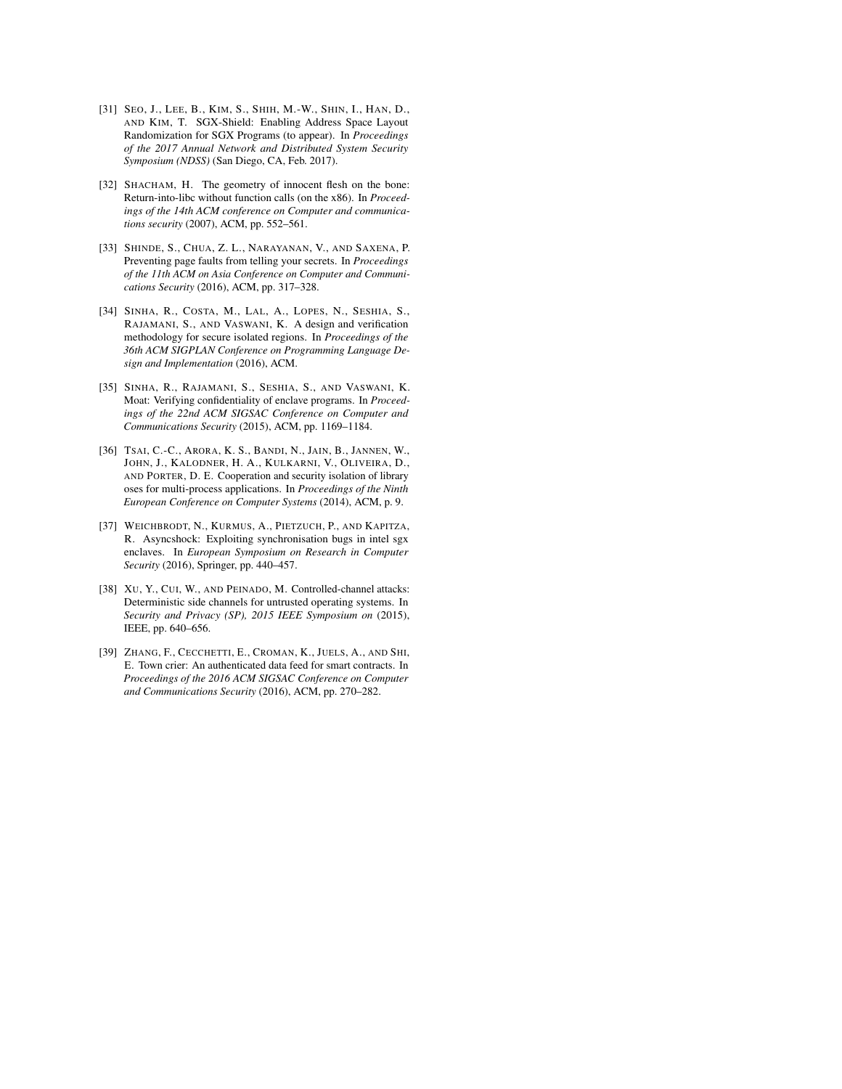- <span id="page-15-8"></span>[31] SEO, J., LEE, B., KIM, S., SHIH, M.-W., SHIN, I., HAN, D., AND KIM, T. SGX-Shield: Enabling Address Space Layout Randomization for SGX Programs (to appear). In *Proceedings of the 2017 Annual Network and Distributed System Security Symposium (NDSS)* (San Diego, CA, Feb. 2017).
- <span id="page-15-5"></span>[32] SHACHAM, H. The geometry of innocent flesh on the bone: Return-into-libc without function calls (on the x86). In *Proceedings of the 14th ACM conference on Computer and communications security* (2007), ACM, pp. 552–561.
- <span id="page-15-2"></span>[33] SHINDE, S., CHUA, Z. L., NARAYANAN, V., AND SAXENA, P. Preventing page faults from telling your secrets. In *Proceedings of the 11th ACM on Asia Conference on Computer and Communications Security* (2016), ACM, pp. 317–328.
- <span id="page-15-6"></span>[34] SINHA, R., COSTA, M., LAL, A., LOPES, N., SESHIA, S., RAJAMANI, S., AND VASWANI, K. A design and verification methodology for secure isolated regions. In *Proceedings of the 36th ACM SIGPLAN Conference on Programming Language Design and Implementation* (2016), ACM.
- <span id="page-15-7"></span>[35] SINHA, R., RAJAMANI, S., SESHIA, S., AND VASWANI, K. Moat: Verifying confidentiality of enclave programs. In *Proceedings of the 22nd ACM SIGSAC Conference on Computer and Communications Security* (2015), ACM, pp. 1169–1184.
- <span id="page-15-0"></span>[36] TSAI, C.-C., ARORA, K. S., BANDI, N., JAIN, B., JANNEN, W., JOHN, J., KALODNER, H. A., KULKARNI, V., OLIVEIRA, D., AND PORTER, D. E. Cooperation and security isolation of library oses for multi-process applications. In *Proceedings of the Ninth European Conference on Computer Systems* (2014), ACM, p. 9.
- <span id="page-15-4"></span>[37] WEICHBRODT, N., KURMUS, A., PIETZUCH, P., AND KAPITZA, R. Asyncshock: Exploiting synchronisation bugs in intel sgx enclaves. In *European Symposium on Research in Computer Security* (2016), Springer, pp. 440–457.
- <span id="page-15-3"></span>[38] XU, Y., CUI, W., AND PEINADO, M. Controlled-channel attacks: Deterministic side channels for untrusted operating systems. In *Security and Privacy (SP), 2015 IEEE Symposium on* (2015), IEEE, pp. 640–656.
- <span id="page-15-1"></span>[39] ZHANG, F., CECCHETTI, E., CROMAN, K., JUELS, A., AND SHI, E. Town crier: An authenticated data feed for smart contracts. In *Proceedings of the 2016 ACM SIGSAC Conference on Computer and Communications Security* (2016), ACM, pp. 270–282.